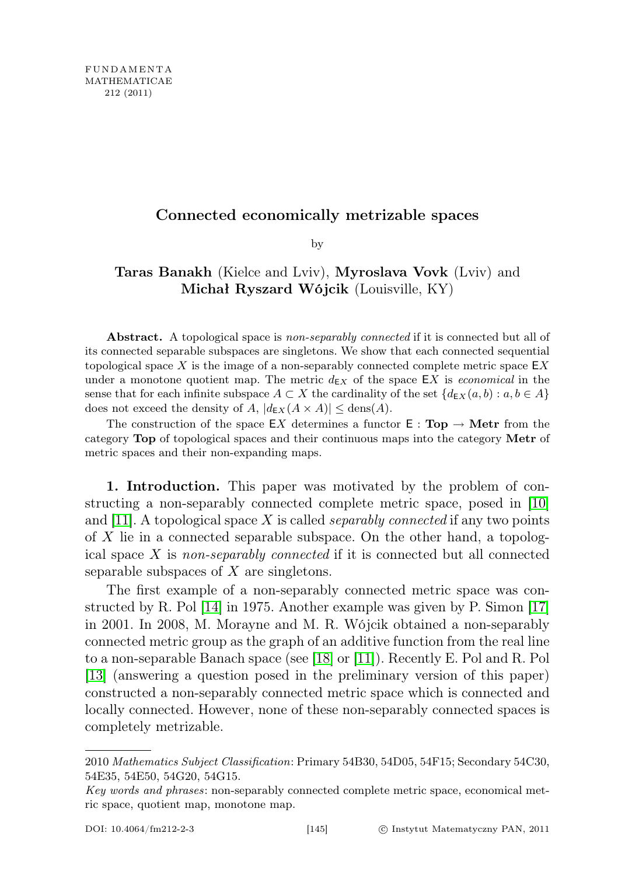# Connected economically metrizable spaces

by

# Taras Banakh (Kielce and Lviv), Myroslava Vovk (Lviv) and Michał Ryszard Wójcik (Louisville, KY)

Abstract. A topological space is non-separably connected if it is connected but all of its connected separable subspaces are singletons. We show that each connected sequential topological space X is the image of a non-separably connected complete metric space  $EX$ under a monotone quotient map. The metric  $d_{\text{EX}}$  of the space EX is *economical* in the sense that for each infinite subspace  $A \subset X$  the cardinality of the set  $\{d_{\text{Ex}}(a, b) : a, b \in A\}$ does not exceed the density of A,  $|d_{\text{E}X}(A \times A)| \leq \text{dens}(A)$ .

The construction of the space EX determines a functor  $E : Top \rightarrow Metr$  from the category Top of topological spaces and their continuous maps into the category Metr of metric spaces and their non-expanding maps.

1. Introduction. This paper was motivated by the problem of constructing a non-separably connected complete metric space, posed in [\[10\]](#page-27-0) and [\[11\]](#page-27-1). A topological space X is called *separably connected* if any two points of X lie in a connected separable subspace. On the other hand, a topological space  $X$  is non-separably connected if it is connected but all connected separable subspaces of  $X$  are singletons.

The first example of a non-separably connected metric space was constructed by R. Pol [\[14\]](#page-27-2) in 1975. Another example was given by P. Simon [\[17\]](#page-27-3) in 2001. In 2008, M. Morayne and M. R. Wójcik obtained a non-separably connected metric group as the graph of an additive function from the real line to a non-separable Banach space (see [\[18\]](#page-27-4) or [\[11\]](#page-27-1)). Recently E. Pol and R. Pol [\[13\]](#page-27-5) (answering a question posed in the preliminary version of this paper) constructed a non-separably connected metric space which is connected and locally connected. However, none of these non-separably connected spaces is completely metrizable.

<sup>2010</sup> Mathematics Subject Classification: Primary 54B30, 54D05, 54F15; Secondary 54C30, 54E35, 54E50, 54G20, 54G15.

Key words and phrases: non-separably connected complete metric space, economical metric space, quotient map, monotone map.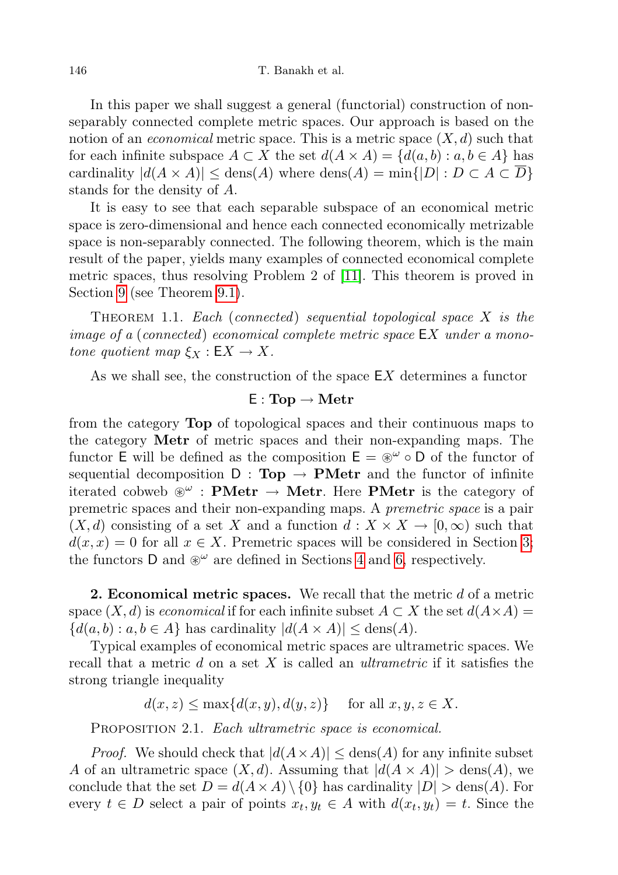In this paper we shall suggest a general (functorial) construction of nonseparably connected complete metric spaces. Our approach is based on the notion of an *economical* metric space. This is a metric space  $(X, d)$  such that for each infinite subspace  $A \subset X$  the set  $d(A \times A) = \{d(a, b) : a, b \in A\}$  has cardinality  $|d(A \times A)| \leq \text{dens}(A)$  where  $\text{dens}(A) = \min\{|D| : D \subset A \subset \overline{D}\}\$ stands for the density of A.

It is easy to see that each separable subspace of an economical metric space is zero-dimensional and hence each connected economically metrizable space is non-separably connected. The following theorem, which is the main result of the paper, yields many examples of connected economical complete metric spaces, thus resolving Problem 2 of [\[11\]](#page-27-1). This theorem is proved in Section [9](#page-22-0) (see Theorem [9.1\)](#page-23-0).

THEOREM 1.1. Each (connected) sequential topological space  $X$  is the image of a (connected) economical complete metric space EX under a monotone quotient map  $\xi_X : \mathsf{E} X \to X$ .

As we shall see, the construction of the space  $EX$  determines a functor

## $E: Top \rightarrow Metr$

from the category Top of topological spaces and their continuous maps to the category Metr of metric spaces and their non-expanding maps. The functor E will be defined as the composition  $E = \mathcal{L}^{\omega} \circ D$  of the functor of sequential decomposition  $D : Top \rightarrow PMetr$  and the functor of infinite iterated cobweb  $\mathscr{L}$  : **PMetr**  $\rightarrow$  **Metr**. Here **PMetr** is the category of premetric spaces and their non-expanding maps. A premetric space is a pair  $(X, d)$  consisting of a set X and a function  $d : X \times X \to [0, \infty)$  such that  $d(x, x) = 0$  for all  $x \in X$ . Premetric spaces will be considered in Section [3;](#page-4-0) the functors D and  $\mathcal{L}^{\omega}$  are defined in Sections [4](#page-10-0) and [6,](#page-14-0) respectively.

**2. Economical metric spaces.** We recall that the metric  $d$  of a metric space  $(X, d)$  is *economical* if for each infinite subset  $A \subset X$  the set  $d(A \times A) =$  $\{d(a, b) : a, b \in A\}$  has cardinality  $|d(A \times A)| \leq$  dens $(A)$ .

Typical examples of economical metric spaces are ultrametric spaces. We recall that a metric  $d$  on a set  $X$  is called an *ultrametric* if it satisfies the strong triangle inequality

 $d(x, z) \leq \max\{d(x, y), d(y, z)\}$  for all  $x, y, z \in X$ .

<span id="page-1-0"></span>PROPOSITION 2.1. Each ultrametric space is economical.

*Proof.* We should check that  $|d(A \times A)| \leq \text{dens}(A)$  for any infinite subset A of an ultrametric space  $(X, d)$ . Assuming that  $|d(A \times A)| > \text{dens}(A)$ , we conclude that the set  $D = d(A \times A) \setminus \{0\}$  has cardinality  $|D| > \text{dens}(A)$ . For every  $t \in D$  select a pair of points  $x_t, y_t \in A$  with  $d(x_t, y_t) = t$ . Since the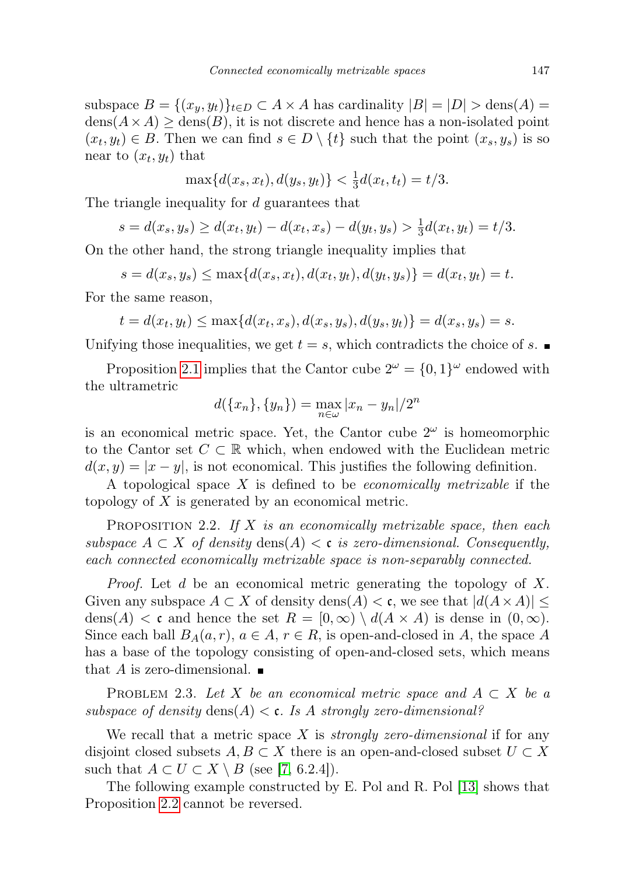subspace  $B = \{(x_y, y_t)\}_{t \in D} \subset A \times A$  has cardinality  $|B| = |D| > \text{dens}(A) =$  $dens(A \times A) \geq dens(B)$ , it is not discrete and hence has a non-isolated point  $(x_t, y_t) \in B$ . Then we can find  $s \in D \setminus \{t\}$  such that the point  $(x_s, y_s)$  is so near to  $(x_t, y_t)$  that

$$
\max\{d(x_s, x_t), d(y_s, y_t)\} < \frac{1}{3}d(x_t, t_t) = t/3.
$$

The triangle inequality for d guarantees that

$$
s = d(x_s, y_s) \ge d(x_t, y_t) - d(x_t, x_s) - d(y_t, y_s) > \frac{1}{3}d(x_t, y_t) = t/3.
$$

On the other hand, the strong triangle inequality implies that

$$
s = d(x_s, y_s) \le \max\{d(x_s, x_t), d(x_t, y_t), d(y_t, y_s)\} = d(x_t, y_t) = t.
$$

For the same reason,

$$
t = d(x_t, y_t) \le \max\{d(x_t, x_s), d(x_s, y_s), d(y_s, y_t)\} = d(x_s, y_s) = s.
$$

Unifying those inequalities, we get  $t = s$ , which contradicts the choice of s.

Proposition [2.1](#page-1-0) implies that the Cantor cube  $2^{\omega} = \{0, 1\}^{\omega}$  endowed with the ultrametric

$$
d({x_n},{y_n}) = \max_{n \in \omega} |x_n - y_n|/2^n
$$

is an economical metric space. Yet, the Cantor cube  $2^{\omega}$  is homeomorphic to the Cantor set  $C \subset \mathbb{R}$  which, when endowed with the Euclidean metric  $d(x, y) = |x - y|$ , is not economical. This justifies the following definition.

A topological space X is defined to be economically metrizable if the topology of X is generated by an economical metric.

<span id="page-2-0"></span>PROPOSITION 2.2. If  $X$  is an economically metrizable space, then each subspace  $A \subset X$  of density  $\text{dens}(A) < \mathfrak{c}$  is zero-dimensional. Consequently, each connected economically metrizable space is non-separably connected.

Proof. Let d be an economical metric generating the topology of X. Given any subspace  $A \subset X$  of density dens $(A) < \mathfrak{c}$ , we see that  $|d(A \times A)| \leq$ dens(A)  $\lt c$  and hence the set  $R = [0, \infty) \setminus d(A \times A)$  is dense in  $(0, \infty)$ . Since each ball  $B_A(a, r)$ ,  $a \in A$ ,  $r \in R$ , is open-and-closed in A, the space A has a base of the topology consisting of open-and-closed sets, which means that A is zero-dimensional.  $\blacksquare$ 

PROBLEM 2.3. Let X be an economical metric space and  $A \subset X$  be a subspace of density  $\text{dens}(A) < \mathfrak{c}$ . Is A strongly zero-dimensional?

We recall that a metric space  $X$  is *strongly zero-dimensional* if for any disjoint closed subsets  $A, B \subset X$  there is an open-and-closed subset  $U \subset X$ such that  $A \subset U \subset X \setminus B$  (see [\[7,](#page-27-6) 6.2.4]).

<span id="page-2-1"></span>The following example constructed by E. Pol and R. Pol [\[13\]](#page-27-5) shows that Proposition [2.2](#page-2-0) cannot be reversed.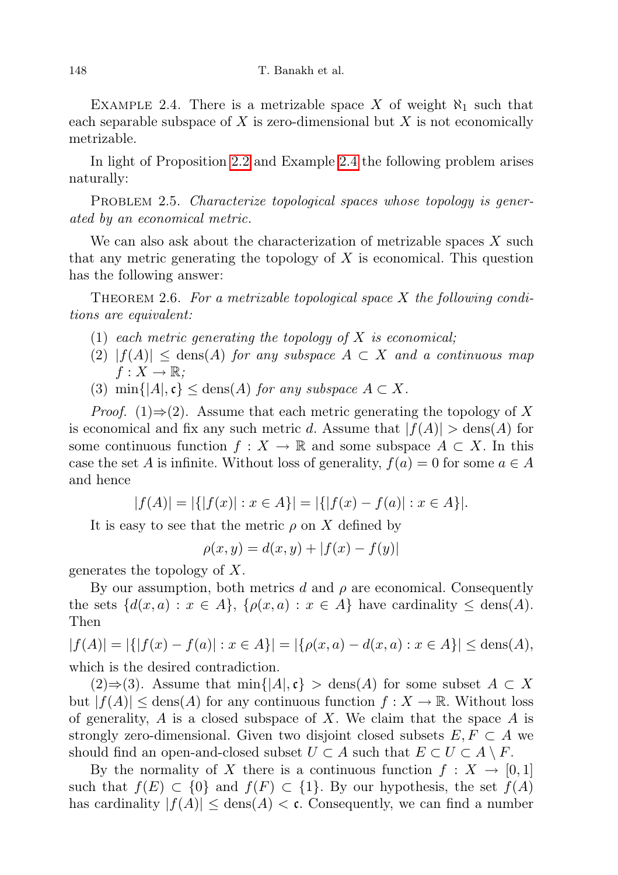EXAMPLE 2.4. There is a metrizable space X of weight  $\aleph_1$  such that each separable subspace of X is zero-dimensional but  $X$  is not economically metrizable.

In light of Proposition [2.2](#page-2-0) and Example [2.4](#page-2-1) the following problem arises naturally:

PROBLEM 2.5. Characterize topological spaces whose topology is generated by an economical metric.

We can also ask about the characterization of metrizable spaces  $X$  such that any metric generating the topology of X is economical. This question has the following answer:

THEOREM 2.6. For a metrizable topological space  $X$  the following conditions are equivalent:

- (1) each metric generating the topology of  $X$  is economical;
- $(2)$   $|f(A)| \leq$  dens $(A)$  for any subspace  $A \subset X$  and a continuous map  $f: X \to \mathbb{R}$ ;
- (3) min $\{|A|, \mathfrak{c}\}\leq$  dens $(A)$  for any subspace  $A \subset X$ .

*Proof.* (1)⇒(2). Assume that each metric generating the topology of X is economical and fix any such metric d. Assume that  $|f(A)| > \text{dens}(A)$  for some continuous function  $f: X \to \mathbb{R}$  and some subspace  $A \subset X$ . In this case the set A is infinite. Without loss of generality,  $f(a) = 0$  for some  $a \in A$ and hence

$$
|f(A)| = |\{|f(x)| : x \in A\}| = |\{|f(x) - f(a)| : x \in A\}|.
$$

It is easy to see that the metric  $\rho$  on X defined by

$$
\rho(x, y) = d(x, y) + |f(x) - f(y)|
$$

generates the topology of X.

By our assumption, both metrics d and  $\rho$  are economical. Consequently the sets  $\{d(x,a): x \in A\}, \{\rho(x,a): x \in A\}$  have cardinality  $\leq$  dens $(A)$ . Then

 $|f(A)| = |\{ |f(x) - f(a)| : x \in A \}| = |\{\rho(x, a) - d(x, a) : x \in A \}| \leq \text{dens}(A),$ which is the desired contradiction.

 $(2) \Rightarrow (3)$ . Assume that min{|A|, c} > dens(A) for some subset  $A \subset X$ but  $|f(A)| \leq \text{dens}(A)$  for any continuous function  $f: X \to \mathbb{R}$ . Without loss of generality,  $A$  is a closed subspace of  $X$ . We claim that the space  $A$  is strongly zero-dimensional. Given two disjoint closed subsets  $E, F \subset A$  we should find an open-and-closed subset  $U \subset A$  such that  $E \subset U \subset A \setminus F$ .

By the normality of X there is a continuous function  $f: X \to [0,1]$ such that  $f(E) \subset \{0\}$  and  $f(F) \subset \{1\}$ . By our hypothesis, the set  $f(A)$ has cardinality  $|f(A)| \leq \text{dens}(A) < \mathfrak{c}$ . Consequently, we can find a number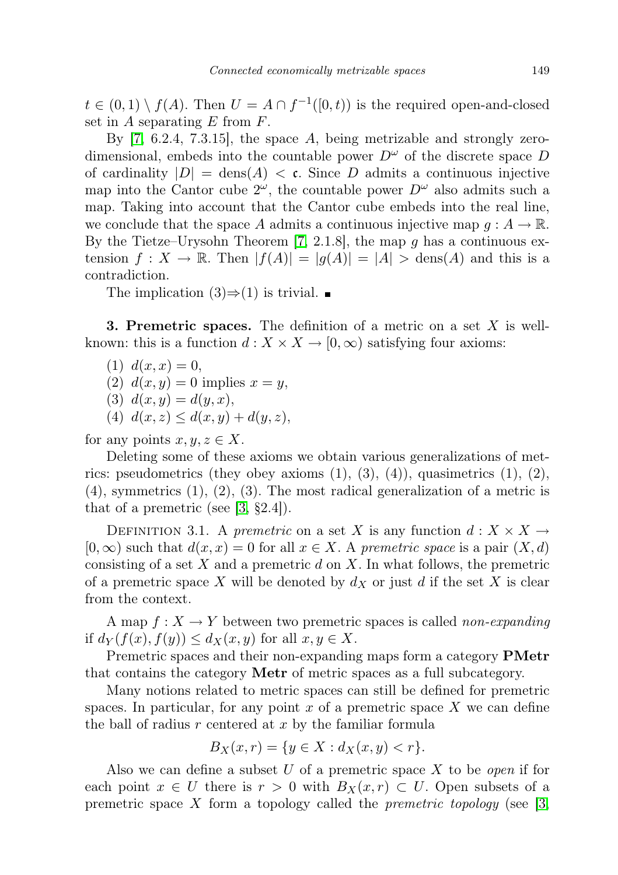$t \in (0,1) \setminus f(A)$ . Then  $U = A \cap f^{-1}([0,t))$  is the required open-and-closed set in  $A$  separating  $E$  from  $F$ .

By [\[7,](#page-27-6) 6.2.4, 7.3.15], the space A, being metrizable and strongly zerodimensional, embeds into the countable power  $D^{\omega}$  of the discrete space D of cardinality  $|D| = \text{dens}(A) < \mathfrak{c}$ . Since D admits a continuous injective map into the Cantor cube  $2^{\omega}$ , the countable power  $D^{\omega}$  also admits such a map. Taking into account that the Cantor cube embeds into the real line, we conclude that the space A admits a continuous injective map  $q : A \to \mathbb{R}$ . By the Tietze–Urysohn Theorem [\[7,](#page-27-6) 2.1.8], the map g has a continuous extension  $f: X \to \mathbb{R}$ . Then  $|f(A)| = |g(A)| = |A| > \text{dens}(A)$  and this is a contradiction.

The implication  $(3) \Rightarrow (1)$  is trivial. ■

<span id="page-4-0"></span>**3. Premetric spaces.** The definition of a metric on a set  $X$  is wellknown: this is a function  $d: X \times X \to [0, \infty)$  satisfying four axioms:

- $(1) d(x, x) = 0,$
- (2)  $d(x, y) = 0$  implies  $x = y$ ,
- (3)  $d(x, y) = d(y, x)$ ,
- (4)  $d(x, z) \leq d(x, y) + d(y, z)$ ,

for any points  $x, y, z \in X$ .

Deleting some of these axioms we obtain various generalizations of metrics: pseudometrics (they obey axioms  $(1), (3), (4)$ ), quasimetrics  $(1), (2)$ ,  $(4)$ , symmetrics  $(1)$ ,  $(2)$ ,  $(3)$ . The most radical generalization of a metric is that of a premetric (see  $[3, §2.4]$  $[3, §2.4]$ ).

DEFINITION 3.1. A premetric on a set X is any function  $d: X \times X \rightarrow$  $[0, \infty)$  such that  $d(x, x) = 0$  for all  $x \in X$ . A premetric space is a pair  $(X, d)$ consisting of a set  $X$  and a premetric  $d$  on  $X$ . In what follows, the premetric of a premetric space X will be denoted by  $d_X$  or just d if the set X is clear from the context.

A map  $f: X \to Y$  between two premetric spaces is called non-expanding if  $d_Y(f(x), f(y)) \leq d_X(x, y)$  for all  $x, y \in X$ .

Premetric spaces and their non-expanding maps form a category **PMetr** that contains the category Metr of metric spaces as a full subcategory.

Many notions related to metric spaces can still be defined for premetric spaces. In particular, for any point  $x$  of a premetric space  $X$  we can define the ball of radius  $r$  centered at  $x$  by the familiar formula

$$
B_X(x,r) = \{ y \in X : d_X(x,y) < r \}.
$$

Also we can define a subset U of a premetric space X to be *open* if for each point  $x \in U$  there is  $r > 0$  with  $B_X(x,r) \subset U$ . Open subsets of a premetric space X form a topology called the *premetric topology* (see [\[3,](#page-27-7)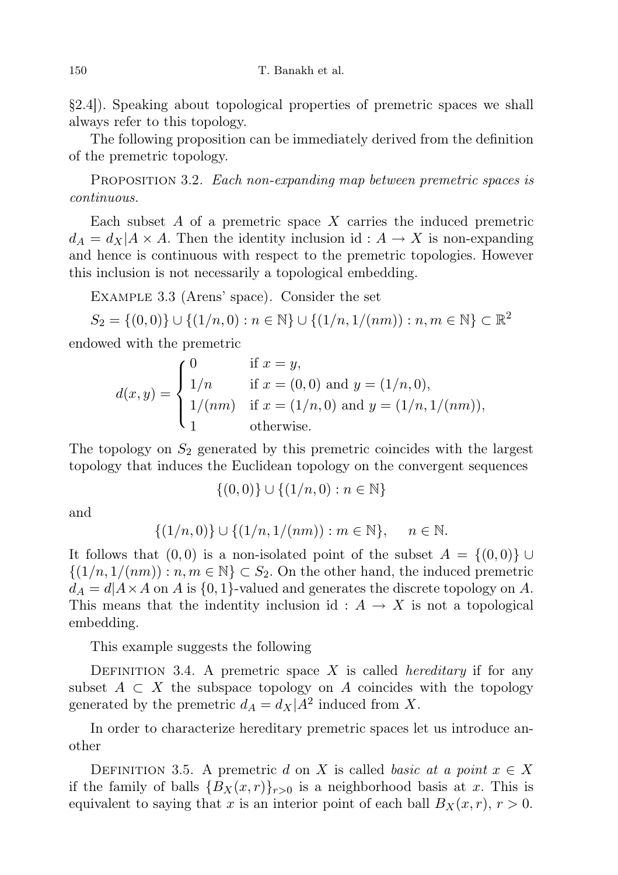§2.4]). Speaking about topological properties of premetric spaces we shall always refer to this topology.

The following proposition can be immediately derived from the definition of the premetric topology.

PROPOSITION 3.2. Each non-expanding map between premetric spaces is continuous.

Each subset  $A$  of a premetric space  $X$  carries the induced premetric  $d_A = d_X | A \times A$ . Then the identity inclusion id :  $A \rightarrow X$  is non-expanding and hence is continuous with respect to the premetric topologies. However this inclusion is not necessarily a topological embedding.

<span id="page-5-0"></span>Example 3.3 (Arens' space). Consider the set

$$
S_2 = \{(0,0)\} \cup \{(1/n,0) : n \in \mathbb{N}\} \cup \{(1/n,1/(nm)) : n, m \in \mathbb{N}\} \subset \mathbb{R}^2
$$

endowed with the premetric

$$
d(x,y) = \begin{cases} 0 & \text{if } x = y, \\ 1/n & \text{if } x = (0,0) \text{ and } y = (1/n,0), \\ 1/(nm) & \text{if } x = (1/n,0) \text{ and } y = (1/n,1/(nm)), \\ 1 & \text{otherwise.} \end{cases}
$$

The topology on  $S_2$  generated by this premetric coincides with the largest topology that induces the Euclidean topology on the convergent sequences

$$
\{(0,0)\} \cup \{(1/n,0) : n \in \mathbb{N}\}\
$$

and

$$
\{(1/n, 0)\} \cup \{(1/n, 1/(nm)) : m \in \mathbb{N}\}, \quad n \in \mathbb{N}.
$$

It follows that  $(0,0)$  is a non-isolated point of the subset  $A = \{(0,0)\} \cup$  $\{(1/n, 1/(nm)) : n, m \in \mathbb{N}\}\subset S_2$ . On the other hand, the induced premetric  $d_A = d|A \times A$  on A is  $\{0, 1\}$ -valued and generates the discrete topology on A. This means that the indentity inclusion id :  $A \rightarrow X$  is not a topological embedding.

This example suggests the following

DEFINITION 3.4. A premetric space X is called *hereditary* if for any subset  $A \subset X$  the subspace topology on A coincides with the topology generated by the premetric  $d_A = d_X | A^2$  induced from X.

In order to characterize hereditary premetric spaces let us introduce another

DEFINITION 3.5. A premetric d on X is called basic at a point  $x \in X$ if the family of balls  ${B_X(x,r)}_{r>0}$  is a neighborhood basis at x. This is equivalent to saying that x is an interior point of each ball  $B_X(x, r)$ ,  $r > 0$ .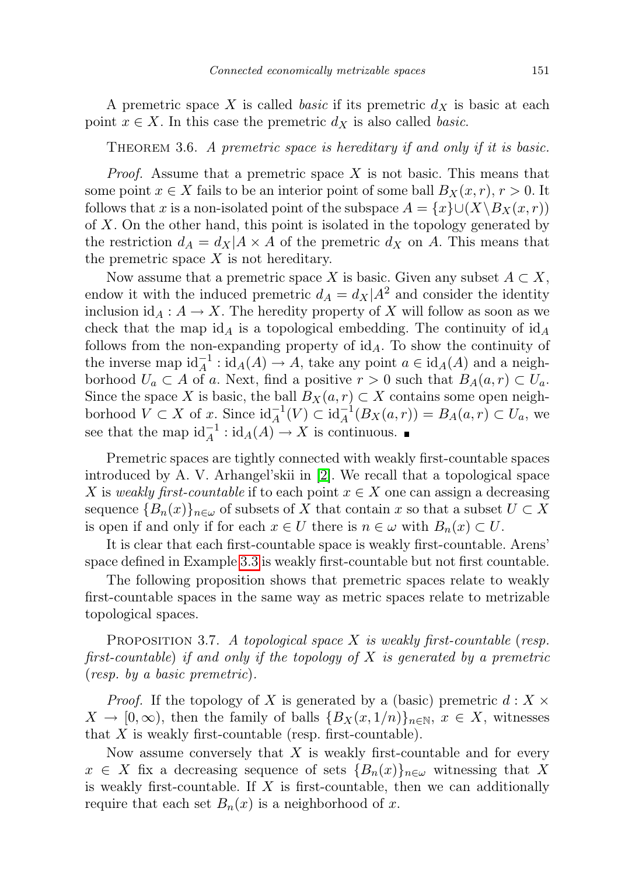A premetric space X is called *basic* if its premetric  $d<sub>X</sub>$  is basic at each point  $x \in X$ . In this case the premetric  $d_X$  is also called *basic*.

<span id="page-6-1"></span>THEOREM 3.6. A premetric space is hereditary if and only if it is basic.

*Proof.* Assume that a premetric space  $X$  is not basic. This means that some point  $x \in X$  fails to be an interior point of some ball  $B_X(x, r)$ ,  $r > 0$ . It follows that x is a non-isolated point of the subspace  $A = \{x\} \cup (X\setminus B_X(x, r))$ of X. On the other hand, this point is isolated in the topology generated by the restriction  $d_A = d_X | A \times A$  of the premetric  $d_X$  on A. This means that the premetric space  $X$  is not hereditary.

Now assume that a premetric space X is basic. Given any subset  $A \subset X$ , endow it with the induced premetric  $d_A = d_X|A^2$  and consider the identity inclusion  $id_A : A \to X$ . The heredity property of X will follow as soon as we check that the map  $id_A$  is a topological embedding. The continuity of  $id_A$ follows from the non-expanding property of  $\mathrm{id}_A$ . To show the continuity of the inverse map  $\mathrm{id}_A^{-1} : \mathrm{id}_A(A) \to A$ , take any point  $a \in \mathrm{id}_A(A)$  and a neighborhood  $U_a \subset A$  of a. Next, find a positive  $r > 0$  such that  $B_A(a, r) \subset U_a$ . Since the space X is basic, the ball  $B_X(a, r) \subset X$  contains some open neighborhood  $V \subset X$  of x. Since  $\mathrm{id}_A^{-1}(V) \subset \mathrm{id}_A^{-1}(B_X(a,r)) = B_A(a,r) \subset U_a$ , we see that the map  $\mathrm{id}_A^{-1} : \mathrm{id}_A(A) \to X$  is continuous.

Premetric spaces are tightly connected with weakly first-countable spaces introduced by A. V. Arhangel'skii in [\[2\]](#page-27-8). We recall that a topological space X is weakly first-countable if to each point  $x \in X$  one can assign a decreasing sequence  ${B_n(x)}_{n \in \omega}$  of subsets of X that contain x so that a subset  $U \subset X$ is open if and only if for each  $x \in U$  there is  $n \in \omega$  with  $B_n(x) \subset U$ .

It is clear that each first-countable space is weakly first-countable. Arens' space defined in Example [3.3](#page-5-0) is weakly first-countable but not first countable.

The following proposition shows that premetric spaces relate to weakly first-countable spaces in the same way as metric spaces relate to metrizable topological spaces.

<span id="page-6-0"></span>PROPOSITION 3.7. A topological space  $X$  is weakly first-countable (resp. first-countable) if and only if the topology of  $X$  is generated by a premetric (resp. by a basic premetric).

*Proof.* If the topology of X is generated by a (basic) premetric  $d: X \times$  $X \to [0,\infty)$ , then the family of balls  ${B_X(x,1/n)}_{n\in\mathbb{N}}$ ,  $x \in X$ , witnesses that  $X$  is weakly first-countable (resp. first-countable).

Now assume conversely that  $X$  is weakly first-countable and for every  $x \in X$  fix a decreasing sequence of sets  ${B_n(x)}_{n \in \omega}$  witnessing that X is weakly first-countable. If  $X$  is first-countable, then we can additionally require that each set  $B_n(x)$  is a neighborhood of x.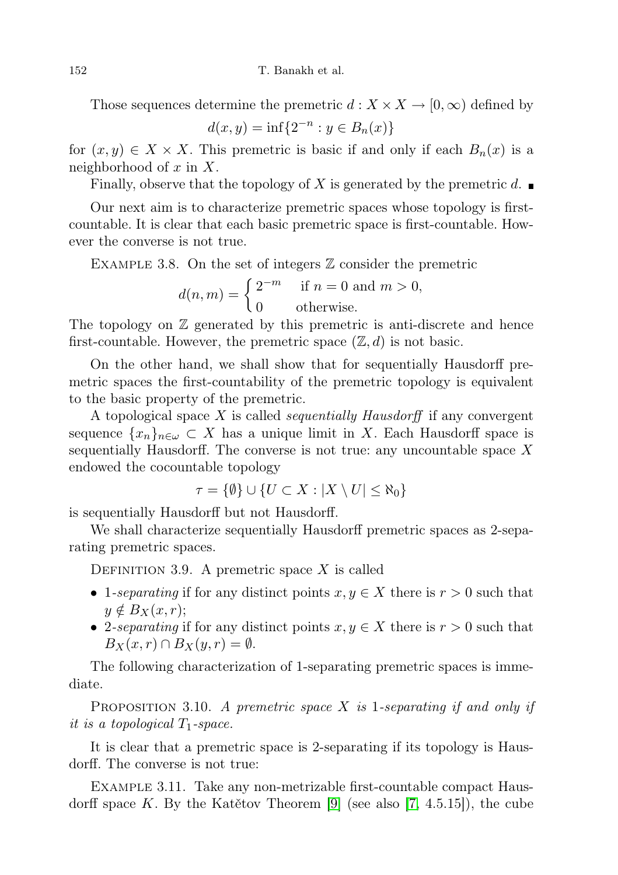Those sequences determine the premetric  $d : X \times X \to [0, \infty)$  defined by

$$
d(x, y) = \inf\{2^{-n} : y \in B_n(x)\}\
$$

for  $(x, y) \in X \times X$ . This premetric is basic if and only if each  $B_n(x)$  is a neighborhood of  $x$  in  $X$ .

Finally, observe that the topology of X is generated by the premetric d.

Our next aim is to characterize premetric spaces whose topology is firstcountable. It is clear that each basic premetric space is first-countable. However the converse is not true.

EXAMPLE 3.8. On the set of integers  $\mathbb Z$  consider the premetric

$$
d(n, m) = \begin{cases} 2^{-m} & \text{if } n = 0 \text{ and } m > 0, \\ 0 & \text{otherwise.} \end{cases}
$$

The topology on  $\mathbb Z$  generated by this premetric is anti-discrete and hence first-countable. However, the premetric space  $(\mathbb{Z}, d)$  is not basic.

On the other hand, we shall show that for sequentially Hausdorff premetric spaces the first-countability of the premetric topology is equivalent to the basic property of the premetric.

A topological space  $X$  is called *sequentially Hausdorff* if any convergent sequence  $\{x_n\}_{n\in\omega}\subset X$  has a unique limit in X. Each Hausdorff space is sequentially Hausdorff. The converse is not true: any uncountable space  $X$ endowed the cocountable topology

$$
\tau = \{\emptyset\} \cup \{U \subset X : |X \setminus U| \le \aleph_0\}
$$

is sequentially Hausdorff but not Hausdorff.

We shall characterize sequentially Hausdorff premetric spaces as 2-separating premetric spaces.

DEFINITION 3.9. A premetric space  $X$  is called

- 1-separating if for any distinct points  $x, y \in X$  there is  $r > 0$  such that  $y \notin B_X(x, r);$
- 2-separating if for any distinct points  $x, y \in X$  there is  $r > 0$  such that  $B_X(x, r) \cap B_X(y, r) = \emptyset.$

The following characterization of 1-separating premetric spaces is immediate.

PROPOSITION 3.10. A premetric space X is 1-separating if and only if it is a topological  $T_1$ -space.

It is clear that a premetric space is 2-separating if its topology is Hausdorff. The converse is not true:

Example 3.11. Take any non-metrizable first-countable compact Hausdorff space K. By the Katětov Theorem [\[9\]](#page-27-9) (see also [\[7,](#page-27-6) 4.5.15]), the cube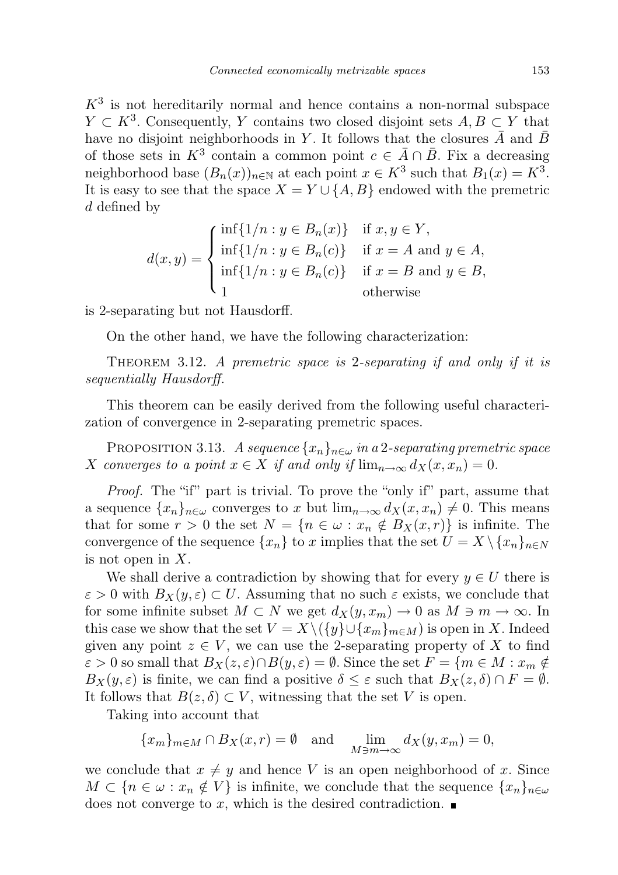$K<sup>3</sup>$  is not hereditarily normal and hence contains a non-normal subspace  $Y \subset K^3$ . Consequently, Y contains two closed disjoint sets  $A, B \subset Y$  that have no disjoint neighborhoods in Y. It follows that the closures  $\overline{A}$  and  $\overline{B}$ of those sets in  $K^3$  contain a common point  $c \in \overline{A} \cap \overline{B}$ . Fix a decreasing neighborhood base  $(B_n(x))_{n\in\mathbb{N}}$  at each point  $x \in K^3$  such that  $B_1(x) = K^3$ . It is easy to see that the space  $X = Y \cup \{A, B\}$  endowed with the premetric d defined by

$$
d(x,y) = \begin{cases} \inf\{1/n : y \in B_n(x)\} & \text{if } x, y \in Y, \\ \inf\{1/n : y \in B_n(c)\} & \text{if } x = A \text{ and } y \in A, \\ \inf\{1/n : y \in B_n(c)\} & \text{if } x = B \text{ and } y \in B, \\ 1 & \text{otherwise} \end{cases}
$$

is 2-separating but not Hausdorff.

On the other hand, we have the following characterization:

THEOREM 3.12. A premetric space is 2-separating if and only if it is sequentially Hausdorff.

This theorem can be easily derived from the following useful characterization of convergence in 2-separating premetric spaces.

<span id="page-8-0"></span>PROPOSITION 3.13. A sequence  ${x_n}_{n \in \omega}$  in a 2-separating premetric space X converges to a point  $x \in X$  if and only if  $\lim_{n \to \infty} d_X(x, x_n) = 0$ .

Proof. The "if" part is trivial. To prove the "only if" part, assume that a sequence  $\{x_n\}_{n\in\omega}$  converges to x but  $\lim_{n\to\infty} d_X(x, x_n) \neq 0$ . This means that for some  $r > 0$  the set  $N = \{n \in \omega : x_n \notin B_X(x,r)\}\$ is infinite. The convergence of the sequence  $\{x_n\}$  to x implies that the set  $U = X \setminus \{x_n\}_{n \in N}$ is not open in  $X$ .

We shall derive a contradiction by showing that for every  $y \in U$  there is  $\varepsilon > 0$  with  $B_X(y, \varepsilon) \subset U$ . Assuming that no such  $\varepsilon$  exists, we conclude that for some infinite subset  $M \subset N$  we get  $d_X(y, x_m) \to 0$  as  $M \ni m \to \infty$ . In this case we show that the set  $V = X \setminus (\{y\} \cup \{x_m\}_{m \in M})$  is open in X. Indeed given any point  $z \in V$ , we can use the 2-separating property of X to find  $\varepsilon > 0$  so small that  $B_X(z, \varepsilon) \cap B(y, \varepsilon) = \emptyset$ . Since the set  $F = \{m \in M : x_m \notin \mathbb{R}^d\}$  $B_X(y,\varepsilon)$  is finite, we can find a positive  $\delta \leq \varepsilon$  such that  $B_X(z,\delta) \cap F = \emptyset$ . It follows that  $B(z, \delta) \subset V$ , witnessing that the set V is open.

Taking into account that

$$
\{x_m\}_{m \in M} \cap B_X(x,r) = \emptyset \quad \text{and} \quad \lim_{M \ni m \to \infty} d_X(y,x_m) = 0,
$$

we conclude that  $x \neq y$  and hence V is an open neighborhood of x. Since  $M \subset \{n \in \omega : x_n \notin V\}$  is infinite, we conclude that the sequence  $\{x_n\}_{n\in\omega}$ does not converge to x, which is the desired contradiction.  $\blacksquare$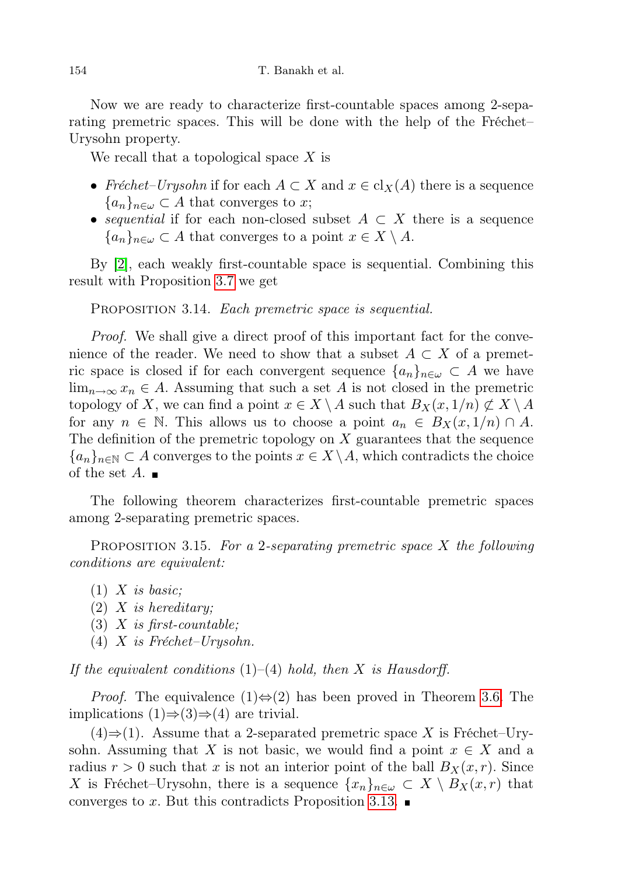Now we are ready to characterize first-countable spaces among 2-separating premetric spaces. This will be done with the help of the Fréchet– Urysohn property.

We recall that a topological space  $X$  is

- Fréchet–Urysohn if for each  $A \subset X$  and  $x \in cl_X(A)$  there is a sequence  ${a_n}_{n\in\omega} \subset A$  that converges to x;
- sequential if for each non-closed subset  $A \subset X$  there is a sequence  ${a_n}_{n\in\omega} \subset A$  that converges to a point  $x \in X \setminus A$ .

By [\[2\]](#page-27-8), each weakly first-countable space is sequential. Combining this result with Proposition [3.7](#page-6-0) we get

PROPOSITION 3.14. Each premetric space is sequential.

Proof. We shall give a direct proof of this important fact for the convenience of the reader. We need to show that a subset  $A \subset X$  of a premetric space is closed if for each convergent sequence  $\{a_n\}_{n\in\omega}\subset A$  we have  $\lim_{n\to\infty}x_n\in A$ . Assuming that such a set A is not closed in the premetric topology of X, we can find a point  $x \in X \setminus A$  such that  $B_X(x, 1/n) \not\subset X \setminus A$ for any  $n \in \mathbb{N}$ . This allows us to choose a point  $a_n \in B_X(x, 1/n) \cap A$ . The definition of the premetric topology on  $X$  guarantees that the sequence  ${a_n}_{n\in\mathbb{N}}\subset A$  converges to the points  $x\in X\backslash A$ , which contradicts the choice of the set  $A$ .

The following theorem characterizes first-countable premetric spaces among 2-separating premetric spaces.

PROPOSITION 3.15. For a 2-separating premetric space  $X$  the following conditions are equivalent:

- $(1)$  X is basic;
- $(2)$  X is hereditary;
- (3)  $X$  is first-countable;
- (4) X is Fréchet–Urysohn.

If the equivalent conditions  $(1)$ – $(4)$  hold, then X is Hausdorff.

*Proof.* The equivalence  $(1) \Leftrightarrow (2)$  has been proved in Theorem [3.6.](#page-6-1) The implications  $(1) \Rightarrow (3) \Rightarrow (4)$  are trivial.

 $(4) \Rightarrow (1)$ . Assume that a 2-separated premetric space X is Fréchet–Urysohn. Assuming that X is not basic, we would find a point  $x \in X$  and a radius  $r > 0$  such that x is not an interior point of the ball  $B_X(x,r)$ . Since X is Fréchet–Urysohn, there is a sequence  $\{x_n\}_{n\in\omega} \subset X \setminus B_X(x,r)$  that converges to x. But this contradicts Proposition [3.13.](#page-8-0)  $\blacksquare$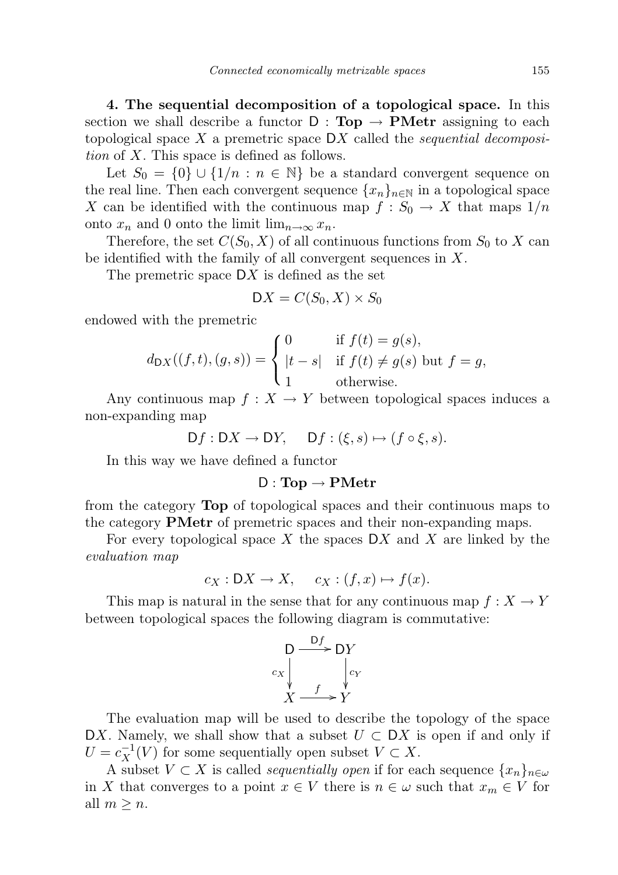<span id="page-10-0"></span>4. The sequential decomposition of a topological space. In this section we shall describe a functor  $D : Top \rightarrow PMetr$  assigning to each topological space  $X$  a premetric space  $DX$  called the *sequential decomposi*tion of X. This space is defined as follows.

Let  $S_0 = \{0\} \cup \{1/n : n \in \mathbb{N}\}\$ be a standard convergent sequence on the real line. Then each convergent sequence  $\{x_n\}_{n\in\mathbb{N}}$  in a topological space X can be identified with the continuous map  $f : S_0 \to X$  that maps  $1/n$ onto  $x_n$  and 0 onto the limit  $\lim_{n\to\infty}x_n$ .

Therefore, the set  $C(S_0, X)$  of all continuous functions from  $S_0$  to X can be identified with the family of all convergent sequences in X.

The premetric space  $DX$  is defined as the set

$$
DX = C(S_0, X) \times S_0
$$

endowed with the premetric

$$
d_{\text{DX}}((f,t),(g,s)) = \begin{cases} 0 & \text{if } f(t) = g(s), \\ |t-s| & \text{if } f(t) \neq g(s) \text{ but } f = g, \\ 1 & \text{otherwise.} \end{cases}
$$

Any continuous map  $f: X \to Y$  between topological spaces induces a non-expanding map

$$
Df: DX \to DY, \quad Df: (\xi, s) \mapsto (f \circ \xi, s).
$$

In this way we have defined a functor

### $D: Top \rightarrow PMetr$

from the category Top of topological spaces and their continuous maps to the category PMetr of premetric spaces and their non-expanding maps.

For every topological space X the spaces  $\mathcal{D}X$  and X are linked by the evaluation map

$$
c_X: \mathsf{D}X \to X, \quad c_X: (f, x) \mapsto f(x).
$$

This map is natural in the sense that for any continuous map  $f: X \to Y$ between topological spaces the following diagram is commutative:



The evaluation map will be used to describe the topology of the space DX. Namely, we shall show that a subset  $U \subset \mathsf{D}X$  is open if and only if  $U = c_X^{-1}(V)$  for some sequentially open subset  $V \subset X$ .

<span id="page-10-1"></span>A subset  $V \subset X$  is called *sequentially open* if for each sequence  $\{x_n\}_{n\in\omega}$ in X that converges to a point  $x \in V$  there is  $n \in \omega$  such that  $x_m \in V$  for all  $m \geq n$ .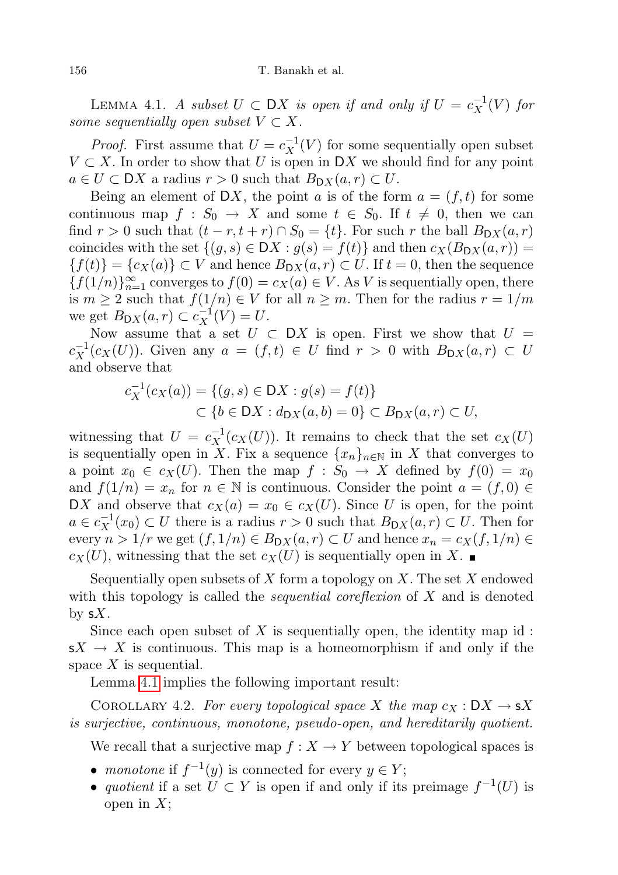LEMMA 4.1. A subset  $U \subset DX$  is open if and only if  $U = c_X^{-1}(V)$  for some sequentially open subset  $V \subset X$ .

*Proof.* First assume that  $U = c_X^{-1}(V)$  for some sequentially open subset  $V \subset X$ . In order to show that U is open in DX we should find for any point  $a \in U \subset \mathsf{D}X$  a radius  $r > 0$  such that  $B_{\mathsf{D}X}(a,r) \subset U$ .

Being an element of DX, the point a is of the form  $a = (f, t)$  for some continuous map  $f : S_0 \to X$  and some  $t \in S_0$ . If  $t \neq 0$ , then we can find  $r > 0$  such that  $(t - r, t + r) \cap S_0 = \{t\}$ . For such r the ball  $B_{\text{D}X}(a, r)$ coincides with the set  $\{(g, s) \in DX : g(s) = f(t)\}\$ and then  $c_X(B_{DX}(a, r)) =$  ${f(t)} = {c_X(a)} \subset V$  and hence  $B_{\text{D}X}(a, r) \subset U$ . If  $t = 0$ , then the sequence  ${f(1/n)}_{n=1}^{\infty}$  converges to  $f(0) = c_X(a) \in V$ . As V is sequentially open, there is  $m \geq 2$  such that  $f(1/n) \in V$  for all  $n \geq m$ . Then for the radius  $r = 1/m$ we get  $B_{\mathsf{D}X}(a,r) \subset c_X^{-1}(V) = U$ .

Now assume that a set  $U \subset DX$  is open. First we show that  $U =$  $c_X^{-1}(c_X(U))$ . Given any  $a = (f, t) \in U$  find  $r > 0$  with  $B_{\mathsf{D}X}(a, r) \subset U$ and observe that

$$
c_X^{-1}(c_X(a)) = \{(g, s) \in \mathcal{D}X : g(s) = f(t)\}
$$
  

$$
\subset \{b \in \mathcal{D}X : d_{\mathcal{D}X}(a, b) = 0\} \subset B_{\mathcal{D}X}(a, r) \subset U,
$$

witnessing that  $U = c_X^{-1}(c_X(U))$ . It remains to check that the set  $c_X(U)$ is sequentially open in X. Fix a sequence  $\{x_n\}_{n\in\mathbb{N}}$  in X that converges to a point  $x_0 \in c_X(U)$ . Then the map  $f : S_0 \to X$  defined by  $f(0) = x_0$ and  $f(1/n) = x_n$  for  $n \in \mathbb{N}$  is continuous. Consider the point  $a = (f, 0) \in$ DX and observe that  $c_X(a) = x_0 \in c_X(U)$ . Since U is open, for the point  $a \in c_X^{-1}(x_0) \subset U$  there is a radius  $r > 0$  such that  $B_{\mathsf{D}X}(a, r) \subset U$ . Then for every  $n > 1/r$  we get  $(f, 1/n) \in B_{\mathsf{D}X}(a, r) \subset U$  and hence  $x_n = c_X(f, 1/n) \in$  $c_X(U)$ , witnessing that the set  $c_X(U)$  is sequentially open in X.

Sequentially open subsets of X form a topology on X. The set X endowed with this topology is called the *sequential coreflexion* of  $X$  and is denoted by  $sX$ .

Since each open subset of X is sequentially open, the identity map id:  $sX \to X$  is continuous. This map is a homeomorphism if and only if the space  $X$  is sequential.

Lemma [4.1](#page-10-1) implies the following important result:

<span id="page-11-0"></span>COROLLARY 4.2. For every topological space X the map  $c_X : DX \to sX$ is surjective, continuous, monotone, pseudo-open, and hereditarily quotient.

We recall that a surjective map  $f: X \to Y$  between topological spaces is

- monotone if  $f^{-1}(y)$  is connected for every  $y \in Y$ ;
- quotient if a set  $\overline{U} \subset Y$  is open if and only if its preimage  $f^{-1}(U)$  is open in  $X$ ;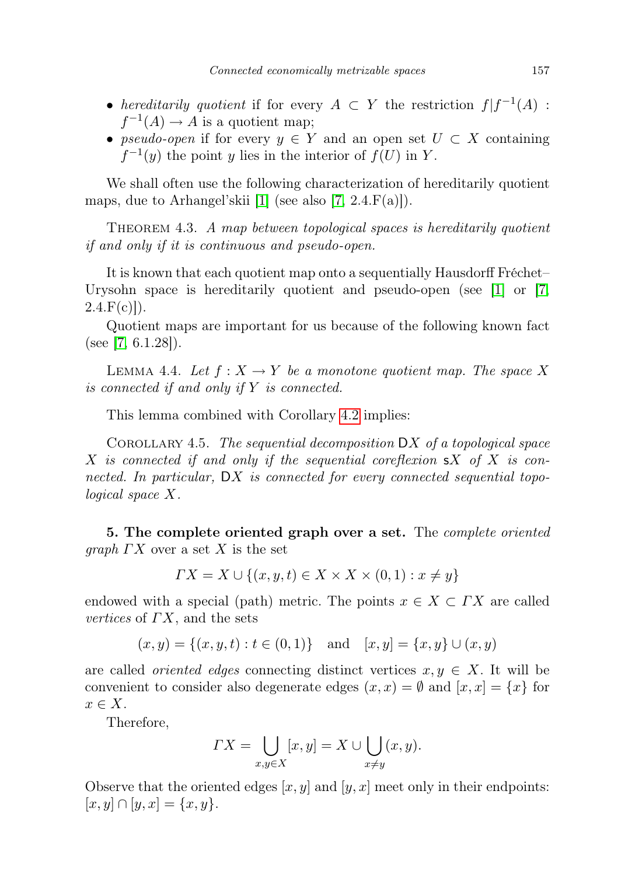- hereditarily quotient if for every  $A \subset Y$  the restriction  $f | f^{-1}(A)$ :  $f^{-1}(A) \to A$  is a quotient map;
- pseudo-open if for every  $y \in Y$  and an open set  $U \subset X$  containing  $f^{-1}(y)$  the point y lies in the interior of  $f(U)$  in Y.

We shall often use the following characterization of hereditarily quotient maps, due to Arhangel'skii [\[1\]](#page-27-10) (see also [\[7,](#page-27-6)  $2.4.F(a)$ ]).

THEOREM 4.3. A map between topological spaces is hereditarily quotient if and only if it is continuous and pseudo-open.

It is known that each quotient map onto a sequentially Hausdorff Fréchet– Urysohn space is hereditarily quotient and pseudo-open (see [\[1\]](#page-27-10) or [\[7,](#page-27-6)  $2.4.F(c)]$ .

Quotient maps are important for us because of the following known fact (see [\[7,](#page-27-6)  $6.1.28$ ]).

<span id="page-12-0"></span>LEMMA 4.4. Let  $f: X \to Y$  be a monotone quotient map. The space X is connected if and only if Y is connected.

This lemma combined with Corollary [4.2](#page-11-0) implies:

COROLLARY 4.5. The sequential decomposition  $DX$  of a topological space X is connected if and only if the sequential coreflexion  $\mathsf{s} X$  of X is connected. In particular, DX is connected for every connected sequential topological space X.

5. The complete oriented graph over a set. The *complete oriented graph*  $\Gamma X$  over a set X is the set

$$
\Gamma X = X \cup \{(x, y, t) \in X \times X \times (0, 1) : x \neq y\}
$$

endowed with a special (path) metric. The points  $x \in X \subset \Gamma X$  are called vertices of  $\Gamma X$ , and the sets

$$
(x, y) = \{(x, y, t) : t \in (0, 1)\}\
$$
and  $[x, y] = \{x, y\} \cup (x, y)$ 

are called *oriented edges* connecting distinct vertices  $x, y \in X$ . It will be convenient to consider also degenerate edges  $(x, x) = \emptyset$  and  $[x, x] = \{x\}$  for  $x \in X$ .

Therefore,

$$
\Gamma X = \bigcup_{x,y \in X} [x,y] = X \cup \bigcup_{x \neq y} (x,y).
$$

Observe that the oriented edges  $[x, y]$  and  $[y, x]$  meet only in their endpoints:  $[x, y] \cap [y, x] = \{x, y\}.$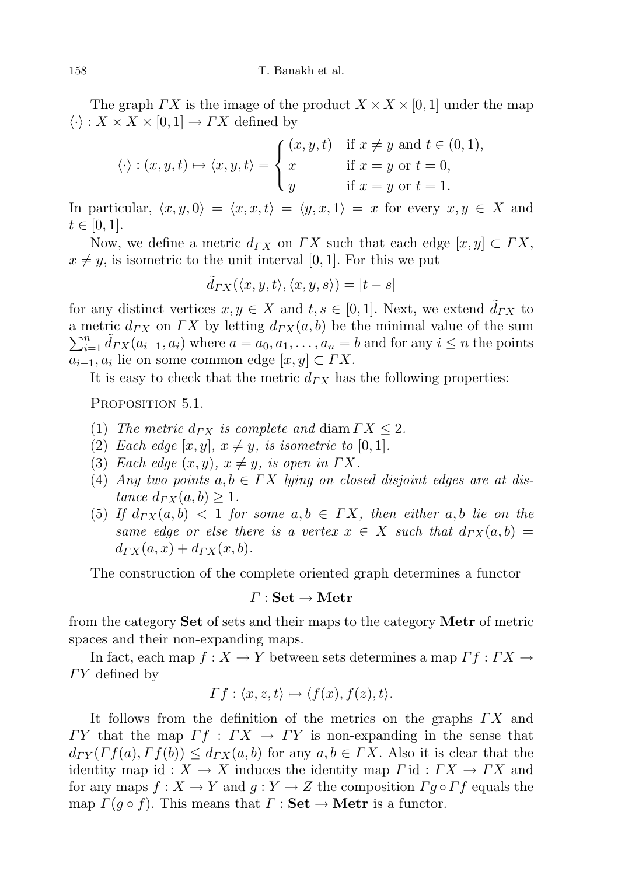The graph  $\Gamma X$  is the image of the product  $X \times X \times [0, 1]$  under the map  $\langle \cdot \rangle : X \times X \times [0,1] \to FX$  defined by

$$
\langle \cdot \rangle : (x, y, t) \mapsto \langle x, y, t \rangle = \begin{cases} (x, y, t) & \text{if } x \neq y \text{ and } t \in (0, 1), \\ x & \text{if } x = y \text{ or } t = 0, \\ y & \text{if } x = y \text{ or } t = 1. \end{cases}
$$

In particular,  $\langle x, y, 0 \rangle = \langle x, x, t \rangle = \langle y, x, 1 \rangle = x$  for every  $x, y \in X$  and  $t \in [0, 1].$ 

Now, we define a metric  $d_{\Gamma X}$  on  $\Gamma X$  such that each edge  $[x, y] \subset \Gamma X$ ,  $x \neq y$ , is isometric to the unit interval [0, 1]. For this we put

$$
\tilde{d}_{\varGamma X}(\langle x,y,t\rangle,\langle x,y,s\rangle)=|t-s|
$$

for any distinct vertices  $x, y \in X$  and  $t, s \in [0, 1]$ . Next, we extend  $d_{TX}$  to a metric  $d_{\mathcal{L}}(X)$  on  $\mathcal{L}(X)$  by letting  $d_{\mathcal{L}}(X, b)$  be the minimal value of the sum  $\sum_{i=1}^{n}$  $\tilde{d}_{i=1}^n \tilde{d}_{\varGamma X}(a_{i-1}, a_i)$  where  $a = a_0, a_1, \ldots, a_n = b$  and for any  $i \leq n$  the points  $a_{i-1}, a_i$  lie on some common edge  $[x, y] \subset \Gamma X$ .

<span id="page-13-1"></span>It is easy to check that the metric  $d_{\Gamma X}$  has the following properties:

Proposition 5.1.

- (1) The metric  $d_{\Gamma X}$  is complete and diam  $\Gamma X \leq 2$ .
- (2) Each edge  $[x, y]$ ,  $x \neq y$ , is isometric to [0, 1].
- (3) Each edge  $(x, y)$ ,  $x \neq y$ , is open in  $\Gamma X$ .
- (4) Any two points  $a, b \in \Gamma X$  lying on closed disjoint edges are at distance  $d_{\varGamma X}(a, b) \geq 1$ .
- (5) If  $d_{\varGamma X}(a, b) < 1$  for some  $a, b \in \varGamma X$ , then either  $a, b$  lie on the same edge or else there is a vertex  $x \in X$  such that  $d_{\Gamma X}(a, b) =$  $d_{\Gamma X}(a, x) + d_{\Gamma X}(x, b).$

The construction of the complete oriented graph determines a functor

### $\Gamma: \mathbf{Set} \to \mathbf{Metr}$

from the category Set of sets and their maps to the category Metr of metric spaces and their non-expanding maps.

In fact, each map  $f: X \to Y$  between sets determines a map  $\Gamma f: \Gamma X \to Y$  $TY$  defined by

$$
\Gamma f: \langle x, z, t \rangle \mapsto \langle f(x), f(z), t \rangle.
$$

<span id="page-13-0"></span>It follows from the definition of the metrics on the graphs  $\Gamma X$  and  $\Gamma Y$  that the map  $\Gamma f : \Gamma X \to \Gamma Y$  is non-expanding in the sense that  $d_{TY}(\Gamma f(a), \Gamma f(b)) \leq d_{TX}(a, b)$  for any  $a, b \in \Gamma X$ . Also it is clear that the identity map id :  $X \to X$  induces the identity map  $\Gamma$  id :  $\Gamma X \to \Gamma X$  and for any maps  $f: X \to Y$  and  $g: Y \to Z$  the composition  $\Gamma g \circ \Gamma f$  equals the map  $\Gamma(g \circ f)$ . This means that  $\Gamma : \mathbf{Set} \to \mathbf{Metr}$  is a functor.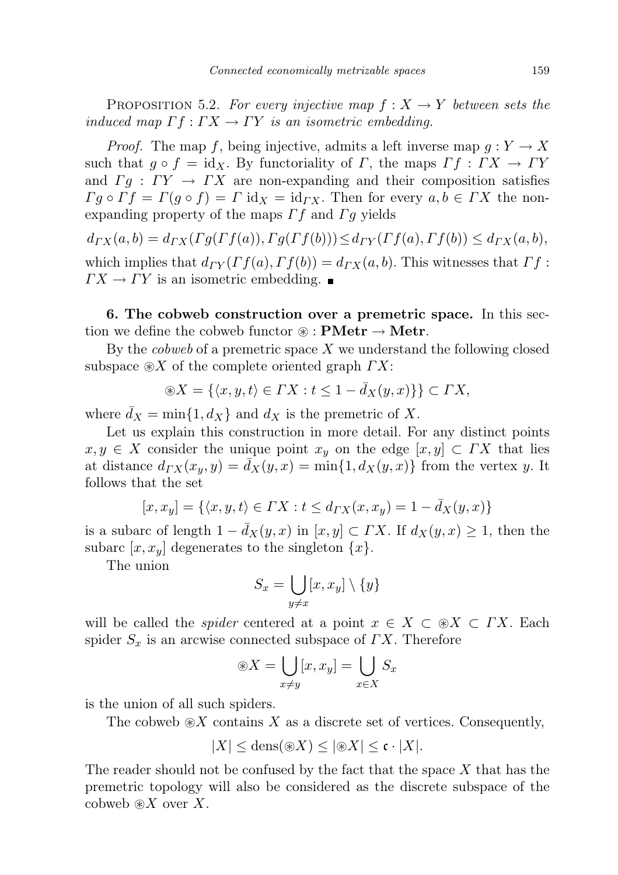PROPOSITION 5.2. For every injective map  $f: X \to Y$  between sets the induced map  $\Gamma f : \Gamma X \to \Gamma Y$  is an isometric embedding.

*Proof.* The map f, being injective, admits a left inverse map  $g: Y \to X$ such that  $q \circ f = id_X$ . By functoriality of  $\Gamma$ , the maps  $\Gamma f : \Gamma X \to \Gamma Y$ and  $\Gamma q : \Gamma Y \to \Gamma X$  are non-expanding and their composition satisfies  $\Gamma g \circ \Gamma f = \Gamma (g \circ f) = \Gamma \mathrm{id}_X = \mathrm{id}_{\Gamma X}$ . Then for every  $a, b \in \Gamma X$  the nonexpanding property of the maps  $\Gamma f$  and  $\Gamma g$  yields

 $d_{\Gamma X}(a, b) = d_{\Gamma X}(\Gamma g(\Gamma f(a)), \Gamma g(\Gamma f(b))) \leq d_{\Gamma Y}(\Gamma f(a), \Gamma f(b)) \leq d_{\Gamma X}(a, b),$ which implies that  $d_{TY}(\Gamma f(a), \Gamma f(b)) = d_{TX}(a, b)$ . This witnesses that  $\Gamma f$ :  $\Gamma X \to \Gamma Y$  is an isometric embedding.  $\blacksquare$ 

<span id="page-14-0"></span>6. The cobweb construction over a premetric space. In this section we define the cobweb functor  $\mathcal{F}: \mathbf{PMetr} \to \mathbf{Metr}$ .

By the *cobweb* of a premetric space  $X$  we understand the following closed subspace  $\otimes X$  of the complete oriented graph  $\Gamma X$ :

$$
\circledast X=\{\langle x,y,t\rangle\in \varGamma X: t\leq 1-\bar{d}_X(y,x)\}\}\subset \varGamma X,
$$

where  $\bar{d}_X = \min\{1, d_X\}$  and  $d_X$  is the premetric of X.

Let us explain this construction in more detail. For any distinct points  $x, y \in X$  consider the unique point  $x<sub>y</sub>$  on the edge  $[x, y] \subset FX$  that lies at distance  $d_{TX}(x_y, y) = \bar{d}_X(y, x) = \min\{1, d_X(y, x)\}\$ from the vertex y. It follows that the set

$$
[x, x_y] = \{ \langle x, y, t \rangle \in \Gamma X : t \le d_{\Gamma X}(x, x_y) = 1 - \bar{d}_X(y, x) \}
$$

is a subarc of length  $1 - \bar{d}_X(y, x)$  in  $[x, y] \subset \Gamma X$ . If  $d_X(y, x) \geq 1$ , then the subarc  $[x, x_y]$  degenerates to the singleton  $\{x\}$ .

The union

$$
S_x = \bigcup_{y \neq x} [x, x_y] \setminus \{y\}
$$

will be called the *spider* centered at a point  $x \in X \subset \mathcal{X} \subset FX$ . Each spider  $S_x$  is an arcwise connected subspace of  $\Gamma X$ . Therefore

$$
\circledast X = \bigcup_{x \neq y} [x, x_y] = \bigcup_{x \in X} S_x
$$

is the union of all such spiders.

The cobweb  $\otimes X$  contains X as a discrete set of vertices. Consequently,

$$
|X| \le \text{dens}(\circledast X) \le |\circledast X| \le \mathfrak{c} \cdot |X|.
$$

The reader should not be confused by the fact that the space  $X$  that has the premetric topology will also be considered as the discrete subspace of the cobweb  $\otimes X$  over X.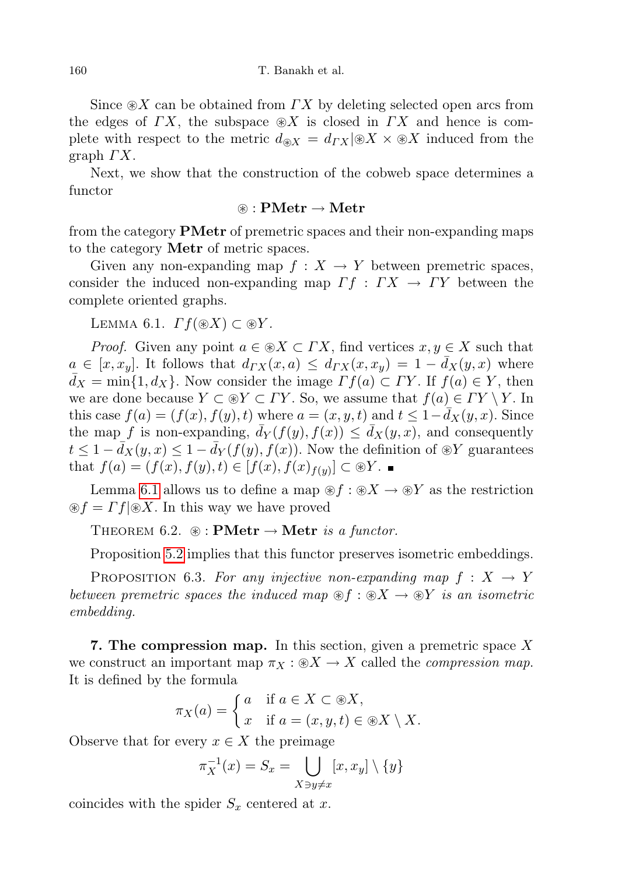Since  $\otimes X$  can be obtained from  $\Gamma X$  by deleting selected open arcs from the edges of  $\Gamma X$ , the subspace  $\otimes X$  is closed in  $\Gamma X$  and hence is complete with respect to the metric  $d_{\mathcal{R}} = d_{TX} | \mathcal{R} \times \mathcal{R} \times X$  induced from the graph  $\Gamma X$ .

Next, we show that the construction of the cobweb space determines a functor

## $\circledast$  : PMetr  $\rightarrow$  Metr

from the category PMetr of premetric spaces and their non-expanding maps to the category Metr of metric spaces.

Given any non-expanding map  $f : X \to Y$  between premetric spaces, consider the induced non-expanding map  $\Gamma f : \Gamma X \to \Gamma Y$  between the complete oriented graphs.

<span id="page-15-0"></span>LEMMA 6.1.  $\Gamma f(\mathcal{X}) \subset \mathcal{X}$ .

*Proof.* Given any point  $a \in \mathcal{X} \subset \Gamma X$ , find vertices  $x, y \in X$  such that  $a \in [x, x_y]$ . It follows that  $d_{\Gamma X}(x, a) \leq d_{\Gamma X}(x, x_y) = 1 - d_X(y, x)$  where  $\bar{d}_X = \min\{1, d_X\}$ . Now consider the image  $\Gamma f(a) \subset \Gamma Y$ . If  $f(a) \in Y$ , then we are done because  $Y \subset \mathcal{B}Y \subset \Gamma Y$ . So, we assume that  $f(a) \in \Gamma Y \setminus Y$ . In this case  $f(a) = (f(x), f(y), t)$  where  $a = (x, y, t)$  and  $t \leq 1 - d_X(y, x)$ . Since the map f is non-expanding,  $\bar{d}_Y(f(y), f(x)) \leq \bar{d}_X(y, x)$ , and consequently  $t \leq 1 - \bar{d}_X(y, x) \leq 1 - \bar{d}_Y(f(y), f(x))$ . Now the definition of  $\mathcal{D}Y$  guarantees that  $f(a) = (f(x), f(y), t) \in [f(x), f(x)_{f(y)}] \subset \mathcal{D}Y$ .

Lemma [6.1](#page-15-0) allows us to define a map  $\mathcal{L}f : \mathcal{L} \times \mathcal{L} \to \mathcal{L}Y$  as the restriction  $\circledast f = \Gamma f | \circledast X$ . In this way we have proved

THEOREM 6.2.  $\circledast$ : **PMetr**  $\rightarrow$  **Metr** is a functor.

Proposition [5.2](#page-13-0) implies that this functor preserves isometric embeddings.

PROPOSITION 6.3. For any injective non-expanding map  $f: X \rightarrow Y$ between premetric spaces the induced map  $\mathcal{F} f : \mathcal{B} X \to \mathcal{B} Y$  is an isometric embedding.

**7. The compression map.** In this section, given a premetric space  $X$ we construct an important map  $\pi_X : \mathcal{X} \to X$  called the *compression map*. It is defined by the formula

$$
\pi_X(a) = \begin{cases} a & \text{if } a \in X \subset \mathcal{X}, \\ x & \text{if } a = (x, y, t) \in \mathcal{X} \setminus X. \end{cases}
$$

Observe that for every  $x \in X$  the preimage

$$
\pi_X^{-1}(x) = S_x = \bigcup_{X \ni y \neq x} [x, x_y] \setminus \{y\}
$$

coincides with the spider  $S_x$  centered at x.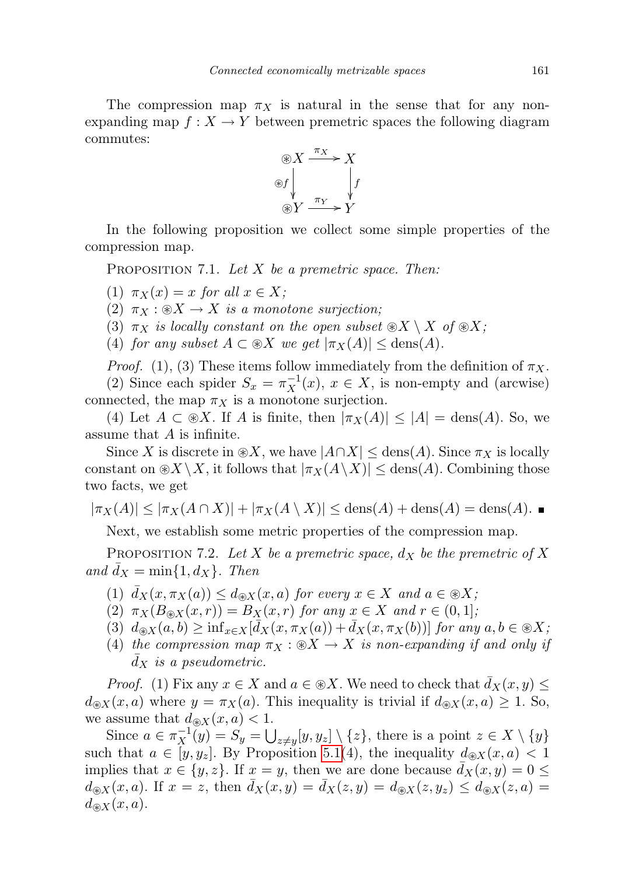The compression map  $\pi_X$  is natural in the sense that for any nonexpanding map  $f: X \to Y$  between premetric spaces the following diagram commutes:



In the following proposition we collect some simple properties of the compression map.

<span id="page-16-0"></span>PROPOSITION 7.1. Let  $X$  be a premetric space. Then:

(1)  $\pi_X(x) = x$  for all  $x \in X$ ;

(2)  $\pi_X : \mathcal{X} \to X$  is a monotone surjection;

(3)  $\pi_X$  is locally constant on the open subset  $\mathcal{X} \setminus X$  of  $\mathcal{X}$ ;

(4) for any subset  $A \subset \mathcal{X}$  we get  $|\pi_X(A)| \leq \text{dens}(A)$ .

*Proof.* (1), (3) These items follow immediately from the definition of  $\pi_X$ .

(2) Since each spider  $S_x = \pi_X^{-1}(x)$ ,  $x \in X$ , is non-empty and (arcwise) connected, the map  $\pi_X$  is a monotone surjection.

(4) Let  $A \subset \mathcal{X}$ . If A is finite, then  $|\pi_X(A)| \leq |A| = \text{dens}(A)$ . So, we assume that A is infinite.

Since X is discrete in  $\mathcal{X}$ , we have  $|A \cap X| \leq \text{dens}(A)$ . Since  $\pi_X$  is locally constant on  $\mathcal{X}\setminus X$ , it follows that  $|\pi_X(A\setminus X)| \leq$  dens $(A)$ . Combining those two facts, we get

$$
|\pi_X(A)| \le |\pi_X(A \cap X)| + |\pi_X(A \setminus X)| \le \text{dens}(A) + \text{dens}(A) = \text{dens}(A).
$$

Next, we establish some metric properties of the compression map.

<span id="page-16-1"></span>PROPOSITION 7.2. Let X be a premetric space,  $d_X$  be the premetric of X and  $d_X = \min\{1, d_X\}$ . Then

- (1)  $\bar{d}_X(x, \pi_X(a)) \leq d_{\mathcal{R}}(x, a)$  for every  $x \in X$  and  $a \in \mathcal{R}X$ ;
- (2)  $\pi_X(B_{\mathscr{B}X}(x,r)) = B_X(x,r)$  for any  $x \in X$  and  $r \in (0,1]$ ;
- (3)  $d_{\mathscr{X}}(a, b) \ge \inf_{x \in X} [\bar{d}_X(x, \pi_X(a)) + \bar{d}_X(x, \pi_X(b))]$  for any  $a, b \in \mathscr{X}$ ;
- (4) the compression map  $\pi_X : \mathcal{X} \to X$  is non-expanding if and only if  $d_X$  is a pseudometric.

*Proof.* (1) Fix any  $x \in X$  and  $a \in \mathcal{X}$ . We need to check that  $\bar{d}_X(x, y) \leq$  $d_{\mathcal{R}}(x, a)$  where  $y = \pi_X(a)$ . This inequality is trivial if  $d_{\mathcal{R}}(x, a) \geq 1$ . So, we assume that  $d_{\mathcal{B}X}(x, a) < 1$ .

Since  $a \in \pi_X^{-1}(y) = S_y = \bigcup_{z \neq y} [y, y_z] \setminus \{z\}$ , there is a point  $z \in X \setminus \{y\}$ such that  $a \in [y, y_z]$ . By Proposition [5.1\(](#page-13-1)4), the inequality  $d_{\mathcal{X}}(x, a) < 1$ implies that  $x \in \{y, z\}$ . If  $x = y$ , then we are done because  $\bar{d}_X(x, y) = 0 \leq$  $d_{\mathcal{R}}(x, a)$ . If  $x = z$ , then  $\overline{d}_X(x, y) = \overline{d}_X(z, y) = d_{\mathcal{R}}(z, y_z) \leq d_{\mathcal{R}}(z, a) =$  $d_{\mathcal{R}}(x,a)$ .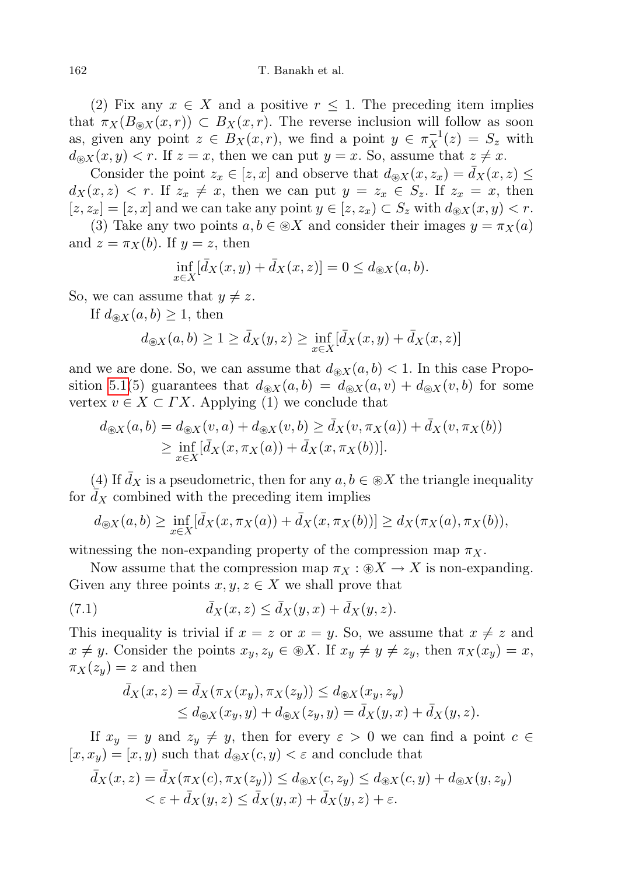(2) Fix any  $x \in X$  and a positive  $r \leq 1$ . The preceding item implies that  $\pi_X(B_{\mathcal{R}}(x,r)) \subset B_X(x,r)$ . The reverse inclusion will follow as soon as, given any point  $z \in B_X(x,r)$ , we find a point  $y \in \pi_X^{-1}(z) = S_z$  with  $d_{\mathcal{B}X}(x, y) < r$ . If  $z = x$ , then we can put  $y = x$ . So, assume that  $z \neq x$ .

Consider the point  $z_x \in [z, x]$  and observe that  $d_{\mathcal{R}}(x, z_x) = \bar{d}_X(x, z) \leq$  $d_X(x, z) < r$ . If  $z_x \neq x$ , then we can put  $y = z_x \in S_z$ . If  $z_x = x$ , then  $[z, z_x] = [z, x]$  and we can take any point  $y \in [z, z_x] \subset S_z$  with  $d_{\mathcal{X}}(x, y) < r$ .

(3) Take any two points  $a, b \in \mathcal{X}$  and consider their images  $y = \pi_X(a)$ and  $z = \pi_X(b)$ . If  $y = z$ , then

$$
\inf_{x \in X} [\bar{d}_X(x, y) + \bar{d}_X(x, z)] = 0 \le d_{\circledast X}(a, b).
$$

So, we can assume that  $y \neq z$ .

If  $d_{\mathcal{R}}(a, b) \geq 1$ , then

$$
d_{\circledast X}(a,b) \ge 1 \ge \bar{d}_X(y,z) \ge \inf_{x \in X} [\bar{d}_X(x,y) + \bar{d}_X(x,z)]
$$

and we are done. So, we can assume that  $d_{\mathcal{R}}(a, b) < 1$ . In this case Propo-sition [5.1\(](#page-13-1)5) guarantees that  $d_{\mathcal{R}}(a, b) = d_{\mathcal{R}}(a, v) + d_{\mathcal{R}}(v, b)$  for some vertex  $v \in X \subset \Gamma X$ . Applying (1) we conclude that

$$
d_{\circledast X}(a, b) = d_{\circledast X}(v, a) + d_{\circledast X}(v, b) \ge \bar{d}_X(v, \pi_X(a)) + \bar{d}_X(v, \pi_X(b))
$$
  
 
$$
\ge \inf_{x \in X} [\bar{d}_X(x, \pi_X(a)) + \bar{d}_X(x, \pi_X(b))].
$$

(4) If  $\bar{d}_X$  is a pseudometric, then for any  $a, b \in \mathcal{X}$  the triangle inequality for  $d_X$  combined with the preceding item implies

$$
d_{\circledast X}(a,b) \geq \inf_{x \in X} [\bar{d}_X(x,\pi_X(a)) + \bar{d}_X(x,\pi_X(b))] \geq d_X(\pi_X(a),\pi_X(b)),
$$

witnessing the non-expanding property of the compression map  $\pi_X$ .

Now assume that the compression map  $\pi_X : \mathcal{X} \to X$  is non-expanding. Given any three points  $x, y, z \in X$  we shall prove that

(7.1) 
$$
\bar{d}_X(x,z) \leq \bar{d}_X(y,x) + \bar{d}_X(y,z).
$$

This inequality is trivial if  $x = z$  or  $x = y$ . So, we assume that  $x \neq z$  and  $x \neq y$ . Consider the points  $x_y, z_y \in \mathcal{X}$ . If  $x_y \neq y \neq z_y$ , then  $\pi_X(x_y) = x$ ,  $\pi_X(z_u) = z$  and then

<span id="page-17-0"></span>
$$
\overline{d}_X(x, z) = \overline{d}_X(\pi_X(x_y), \pi_X(z_y)) \le d_{\circledast X}(x_y, z_y)
$$
\n
$$
\le d_{\circledast X}(x_y, y) + d_{\circledast X}(z_y, y) = \overline{d}_X(y, x) + \overline{d}_X(y, z).
$$

If  $x_y = y$  and  $z_y \neq y$ , then for every  $\varepsilon > 0$  we can find a point  $c \in$  $[x, x_y] = [x, y]$  such that  $d_{\mathcal{R}}(c, y) < \varepsilon$  and conclude that

$$
\bar{d}_X(x,z) = \bar{d}_X(\pi_X(c), \pi_X(z_y)) \le d_{\mathcal{X}}(c, z_y) \le d_{\mathcal{X}}(c, y) + d_{\mathcal{X}}(y, z_y) \n< \varepsilon + \bar{d}_X(y,z) \le \bar{d}_X(y,x) + \bar{d}_X(y,z) + \varepsilon.
$$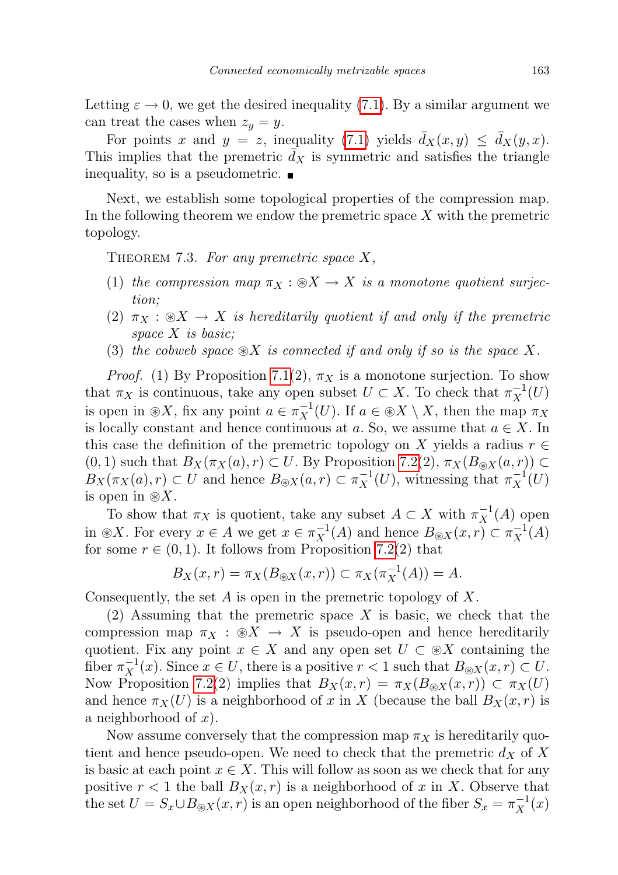Letting  $\varepsilon \to 0$ , we get the desired inequality [\(7.1\)](#page-17-0). By a similar argument we can treat the cases when  $z_y = y$ .

For points x and  $y = z$ , inequality [\(7.1\)](#page-17-0) yields  $\bar{d}_X(x, y) \leq \bar{d}_X(y, x)$ . This implies that the premetric  $\bar{d}_X$  is symmetric and satisfies the triangle inequality, so is a pseudometric.

Next, we establish some topological properties of the compression map. In the following theorem we endow the premetric space  $X$  with the premetric topology.

<span id="page-18-0"></span>THEOREM 7.3. For any premetric space  $X$ ,

- (1) the compression map  $\pi_X : \mathcal{X} \to X$  is a monotone quotient surjection;
- (2)  $\pi_X : \mathcal{X} \to X$  is hereditarily quotient if and only if the premetric space  $X$  is basic;
- (3) the cobweb space  $\mathcal{X}$  is connected if and only if so is the space X.

*Proof.* (1) By Proposition [7.1\(](#page-16-0)2),  $\pi_X$  is a monotone surjection. To show that  $\pi_X$  is continuous, take any open subset  $U \subset X$ . To check that  $\pi_X^{-1}(U)$ is open in  $\otimes X$ , fix any point  $a \in \pi_X^{-1}(U)$ . If  $a \in \otimes X \setminus X$ , then the map  $\pi_X$ is locally constant and hence continuous at a. So, we assume that  $a \in X$ . In this case the definition of the premetric topology on X yields a radius  $r \in$  $(0, 1)$  such that  $B_X(\pi_X(a), r) \subset U$ . By Proposition [7.2\(](#page-16-1)2),  $\pi_X(B_{\otimes X}(a, r)) \subset$  $B_X(\pi_X(a), r) \subset U$  and hence  $B_{\circledast X}(a, r) \subset \pi_X^{-1}(U)$ , witnessing that  $\pi_X^{-1}(U)$ is open in  $\otimes X$ .

To show that  $\pi_X$  is quotient, take any subset  $A \subset X$  with  $\pi_X^{-1}(A)$  open in  $\otimes X$ . For every  $x \in A$  we get  $x \in \pi_X^{-1}(A)$  and hence  $B_{\otimes X}(x,r) \subset \pi_X^{-1}(A)$ for some  $r \in (0,1)$ . It follows from Proposition [7.2\(](#page-16-1)2) that

$$
B_X(x,r) = \pi_X(B_{\circledast X}(x,r)) \subset \pi_X(\pi_X^{-1}(A)) = A.
$$

Consequently, the set  $A$  is open in the premetric topology of  $X$ .

(2) Assuming that the premetric space  $X$  is basic, we check that the compression map  $\pi_X : \mathcal{X} \to X$  is pseudo-open and hence hereditarily quotient. Fix any point  $x \in X$  and any open set  $U \subset \mathcal{X}$  containing the fiber  $\pi_X^{-1}(x)$ . Since  $x \in U$ , there is a positive  $r < 1$  such that  $B_{\otimes X}(x, r) \subset U$ . Now Proposition [7.2\(](#page-16-1)2) implies that  $B_X(x,r) = \pi_X(B_{\otimes X}(x,r)) \subset \pi_X(U)$ and hence  $\pi_X(U)$  is a neighborhood of x in X (because the ball  $B_X(x,r)$  is a neighborhood of  $x$ ).

Now assume conversely that the compression map  $\pi_X$  is hereditarily quotient and hence pseudo-open. We need to check that the premetric  $d_X$  of X is basic at each point  $x \in X$ . This will follow as soon as we check that for any positive  $r < 1$  the ball  $B_X(x, r)$  is a neighborhood of x in X. Observe that the set  $U = S_x \cup B_{\circledast X}(x,r)$  is an open neighborhood of the fiber  $S_x = \pi_X^{-1}(x)$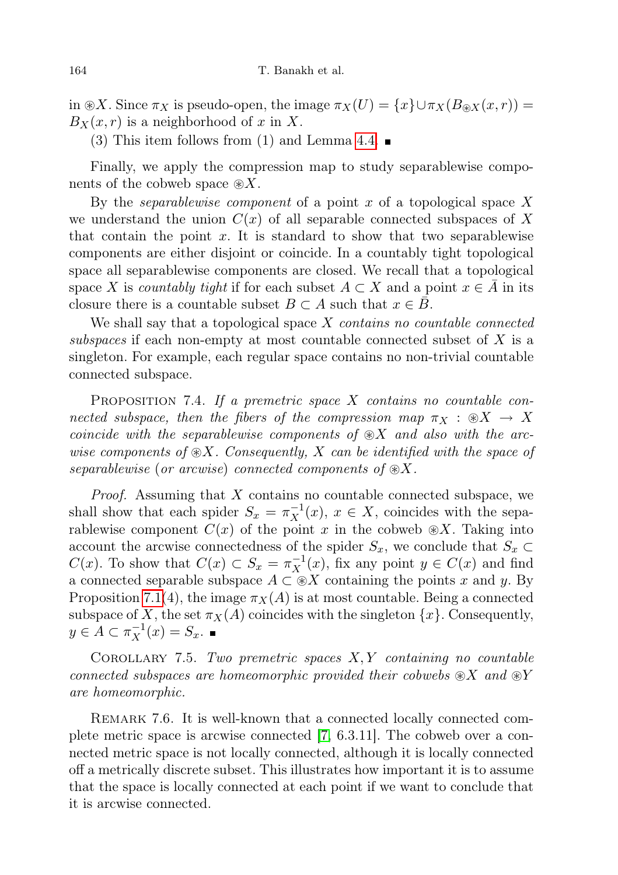in  $\mathcal{R}X$ . Since  $\pi_X$  is pseudo-open, the image  $\pi_X(U) = \{x\} \cup \pi_X(B_{\mathcal{R}X}(x,r)) =$  $B_X(x, r)$  is a neighborhood of x in X.

(3) This item follows from (1) and Lemma [4.4.](#page-12-0)  $\blacksquare$ 

Finally, we apply the compression map to study separablewise components of the cobweb space  $\mathcal{R}X$ .

By the *separablewise component* of a point x of a topological space X we understand the union  $C(x)$  of all separable connected subspaces of X that contain the point  $x$ . It is standard to show that two separablewise components are either disjoint or coincide. In a countably tight topological space all separablewise components are closed. We recall that a topological space X is *countably tight* if for each subset  $A \subset X$  and a point  $x \in A$  in its closure there is a countable subset  $B \subset A$  such that  $x \in B$ .

We shall say that a topological space  $X$  contains no countable connected subspaces if each non-empty at most countable connected subset of X is a singleton. For example, each regular space contains no non-trivial countable connected subspace.

PROPOSITION 7.4. If a premetric space  $X$  contains no countable connected subspace, then the fibers of the compression map  $\pi_X : \mathcal{X} \to X$ coincide with the separablewise components of  $\mathcal{X}$  and also with the arcwise components of  $\mathcal{X}$ . Consequently, X can be identified with the space of separablewise (or arcwise) connected components of  $\otimes X$ .

*Proof.* Assuming that  $X$  contains no countable connected subspace, we shall show that each spider  $S_x = \pi_X^{-1}(x)$ ,  $x \in X$ , coincides with the separablewise component  $C(x)$  of the point x in the cobweb  $\mathcal{R}X$ . Taking into account the arcwise connectedness of the spider  $S_x$ , we conclude that  $S_x \subset$  $C(x)$ . To show that  $C(x) \subset S_x = \pi_X^{-1}(x)$ , fix any point  $y \in C(x)$  and find a connected separable subspace  $A \subset \mathcal{X}$  containing the points x and y. By Proposition [7.1\(](#page-16-0)4), the image  $\pi_X(A)$  is at most countable. Being a connected subspace of X, the set  $\pi_X(A)$  coincides with the singleton  $\{x\}$ . Consequently,  $y \in A \subset \pi_X^{-1}(x) = S_x.$ 

<span id="page-19-0"></span>COROLLARY 7.5. Two premetric spaces  $X, Y$  containing no countable connected subspaces are homeomorphic provided their cobwebs  $\otimes X$  and  $\otimes Y$ are homeomorphic.

REMARK 7.6. It is well-known that a connected locally connected complete metric space is arcwise connected [\[7,](#page-27-6) 6.3.11]. The cobweb over a connected metric space is not locally connected, although it is locally connected off a metrically discrete subset. This illustrates how important it is to assume that the space is locally connected at each point if we want to conclude that it is arcwise connected.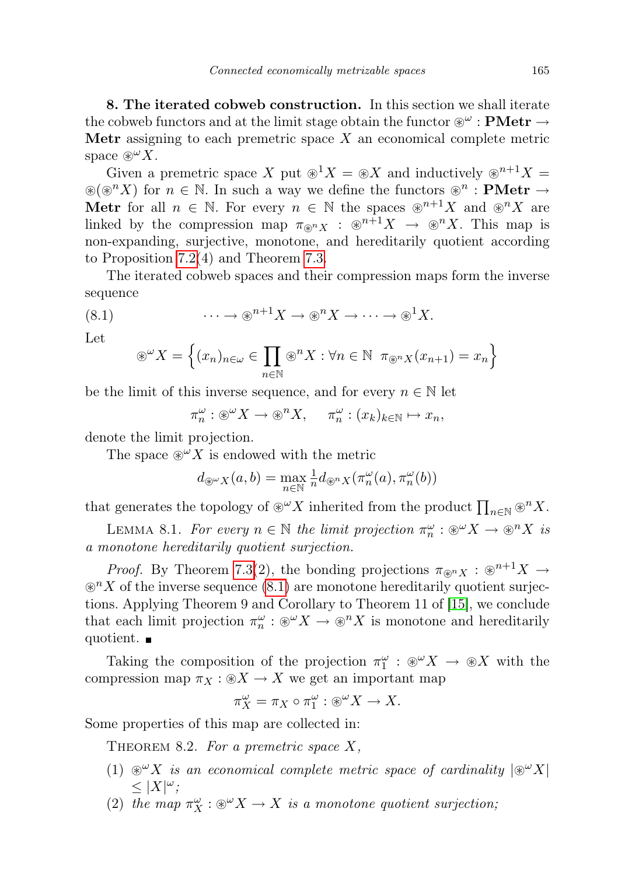8. The iterated cobweb construction. In this section we shall iterate the cobweb functors and at the limit stage obtain the functor  $\mathscr{C}^\omega$  : **PMetr**  $\rightarrow$ **Metr** assigning to each premetric space  $X$  an economical complete metric space  $\mathscr{D}^{\omega} X$ .

Given a premetric space X put  $\mathcal{D}^1 X = \mathcal{D} X$  and inductively  $\mathcal{D}^{n+1} X =$  $\mathcal{L}(\mathcal{D}^n X)$  for  $n \in \mathbb{N}$ . In such a way we define the functors  $\mathcal{D}^n$ : **PMetr**  $\rightarrow$ **Metr** for all  $n \in \mathbb{N}$ . For every  $n \in \mathbb{N}$  the spaces  $\mathcal{D}^{n+1}X$  and  $\mathcal{D}^nX$  are linked by the compression map  $\pi_{\mathbb{R}^n} \times : \mathbb{R}^{n+1}X \to \mathbb{R}^nX$ . This map is non-expanding, surjective, monotone, and hereditarily quotient according to Proposition [7.2\(](#page-16-1)4) and Theorem [7.3.](#page-18-0)

The iterated cobweb spaces and their compression maps form the inverse sequence

(8.1) 
$$
\cdots \to \mathbb{R}^{n+1}X \to \mathbb{R}^nX \to \cdots \to \mathbb{R}^1X.
$$

Let

<span id="page-20-0"></span>
$$
\mathscr{E}^{\omega} X = \left\{ (x_n)_{n \in \omega} \in \prod_{n \in \mathbb{N}} \mathscr{E}^n X : \forall n \in \mathbb{N} \ \pi_{\mathscr{E}^n X} (x_{n+1}) = x_n \right\}
$$

be the limit of this inverse sequence, and for every  $n \in \mathbb{N}$  let

 $\pi_n^{\omega}: \mathcal{D}^{\omega} X \to \mathcal{D}^n X, \quad \pi_n^{\omega}: (x_k)_{k \in \mathbb{N}} \mapsto x_n,$ 

denote the limit projection.

The space  $\mathscr{D}^{\omega} X$  is endowed with the metric

$$
d_{\mathbb{B}^{\omega}X}(a,b) = \max_{n \in \mathbb{N}} \frac{1}{n} d_{\mathbb{B}^nX}(\pi_n^{\omega}(a), \pi_n^{\omega}(b))
$$

that generates the topology of  $\otimes^{\omega} X$  inherited from the product  $\prod_{n\in\mathbb{N}} \otimes^n X$ .

<span id="page-20-1"></span>LEMMA 8.1. For every  $n \in \mathbb{N}$  the limit projection  $\pi_n^{\omega} : \mathcal{L}^{\omega} X \to \mathcal{L}^n X$  is a monotone hereditarily quotient surjection.

*Proof.* By Theorem [7.3\(](#page-18-0)2), the bonding projections  $\pi_{\mathcal{R}} \times \mathcal{R}^{n+1}X \rightarrow$  $\mathcal{D}^nX$  of the inverse sequence [\(8.1\)](#page-20-0) are monotone hereditarily quotient surjections. Applying Theorem 9 and Corollary to Theorem 11 of [\[15\]](#page-27-11), we conclude that each limit projection  $\pi_n^{\omega}: \mathcal{D}^{\omega}X \to \mathcal{D}^nX$  is monotone and hereditarily quotient.  $\blacksquare$ 

Taking the composition of the projection  $\pi_1^{\omega} : \mathcal{D}^{\omega} X \to \mathcal{D} X$  with the compression map  $\pi_X : X \to X$  we get an important map

$$
\pi_X^\omega=\pi_X\circ \pi_1^\omega:\circledast^\omega X\to X.
$$

<span id="page-20-2"></span>Some properties of this map are collected in:

THEOREM 8.2. For a premetric space  $X$ ,

- (1)  $\mathcal{L}^{\omega} X$  is an economical complete metric space of cardinality  $|\mathcal{L}^{\omega} X|$  $\leq |X|^{\omega};$
- (2) the map  $\pi_X^{\omega} : \mathcal{X} \to X$  is a monotone quotient surjection;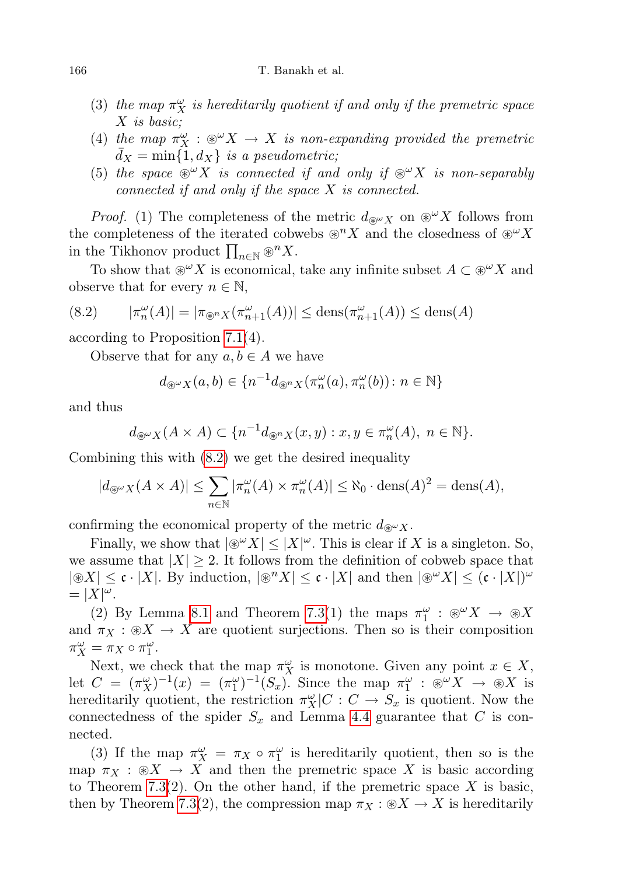- (3) the map  $\pi_X^{\omega}$  is hereditarily quotient if and only if the premetric space X is basic;
- (4) the map  $\pi_X^{\omega} : \mathcal{X} \to X$  is non-expanding provided the premetric  $d_X = \min\{1, d_X\}$  is a pseudometric;
- (5) the space  $\mathscr{L}^{\omega} X$  is connected if and only if  $\mathscr{L}^{\omega} X$  is non-separably connected if and only if the space X is connected.

*Proof.* (1) The completeness of the metric  $d_{\mathcal{R}} \omega_X$  on  $\mathcal{L}^{\omega} X$  follows from the completeness of the iterated cobwebs  $\mathcal{D}^n X$  and the closedness of  $\mathcal{D}^\omega X$ in the Tikhonov product  $\prod_{n\in\mathbb{N}} \otimes^n X$ .

To show that  $\mathscr{L}^\omega X$  is economical, take any infinite subset  $A \subset \mathscr{L}^\omega X$  and observe that for every  $n \in \mathbb{N}$ ,

<span id="page-21-0"></span>
$$
(8.2) \qquad |\pi_n^{\omega}(A)| = |\pi_{\circledast^n X}(\pi_{n+1}^{\omega}(A))| \leq \text{dens}(\pi_{n+1}^{\omega}(A)) \leq \text{dens}(A)
$$

according to Proposition [7.1\(](#page-16-0)4).

Observe that for any  $a, b \in A$  we have

$$
d_{\mathcal{L}^{\omega}X}(a,b) \in \{n^{-1}d_{\mathcal{L}^{\omega}X}(\pi_n^{\omega}(a), \pi_n^{\omega}(b))\colon n \in \mathbb{N}\}\
$$

and thus

$$
d_{\mathcal{B}^{\omega}X}(A \times A) \subset \{n^{-1}d_{\mathcal{B}^nX}(x,y) : x, y \in \pi_n^{\omega}(A), n \in \mathbb{N}\}.
$$

Combining this with [\(8.2\)](#page-21-0) we get the desired inequality

$$
|d_{\mathfrak{F}^{\omega}X}(A \times A)| \leq \sum_{n \in \mathbb{N}} |\pi_n^{\omega}(A) \times \pi_n^{\omega}(A)| \leq \aleph_0 \cdot \text{dens}(A)^2 = \text{dens}(A),
$$

confirming the economical property of the metric  $d_{\mathcal{R}^{\omega}}$ .

Finally, we show that  $|\mathcal{X}| \leq |X|^{\omega}$ . This is clear if X is a singleton. So, we assume that  $|X| \geq 2$ . It follows from the definition of cobweb space that  $|\mathcal{X}| \leq \mathfrak{c} \cdot |X|$ . By induction,  $|\mathcal{F}^n X| \leq \mathfrak{c} \cdot |X|$  and then  $|\mathcal{F}^{\omega} X| \leq (\mathfrak{c} \cdot |X|)^{\omega}$  $= |X|^{\omega}$ .

(2) By Lemma [8.1](#page-20-1) and Theorem [7.3\(](#page-18-0)1) the maps  $\pi_1^{\omega}$ :  $\otimes^{\omega} X \to \otimes X$ and  $\pi_X : \mathcal{X} \to X$  are quotient surjections. Then so is their composition  $\pi_X^{\omega} = \pi_X \circ \pi_1^{\omega}.$ 

Next, we check that the map  $\pi_X^{\omega}$  is monotone. Given any point  $x \in X$ , let  $C = (\pi_X^{\omega})^{-1}(x) = (\pi_1^{\omega})^{-1}(S_x)$ . Since the map  $\pi_1^{\omega} : \mathcal{X} \to \mathcal{X}$  is hereditarily quotient, the restriction  $\pi_X^{\omega}|C:C \to S_x$  is quotient. Now the connectedness of the spider  $S_x$  and Lemma [4.4](#page-12-0) guarantee that C is connected.

(3) If the map  $\pi_X^{\omega} = \pi_X \circ \pi_1^{\omega}$  is hereditarily quotient, then so is the map  $\pi_X : \mathcal{X} \to X$  and then the premetric space X is basic according to Theorem [7.3\(](#page-18-0)2). On the other hand, if the premetric space  $X$  is basic, then by Theorem [7.3\(](#page-18-0)2), the compression map  $\pi_X : \mathcal{X} \to X$  is hereditarily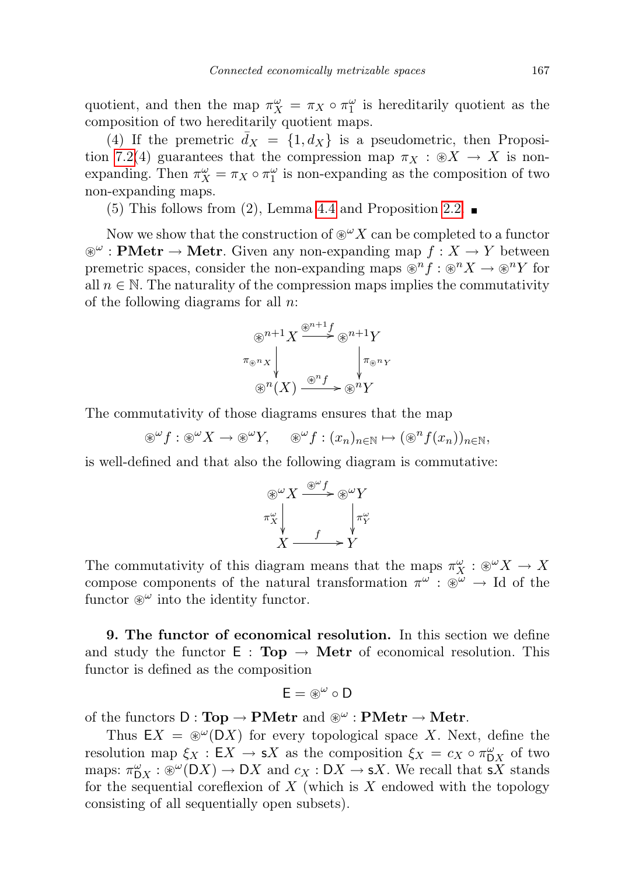quotient, and then the map  $\pi_X^{\omega} = \pi_X \circ \pi_1^{\omega}$  is hereditarily quotient as the composition of two hereditarily quotient maps.

(4) If the premetric  $\bar{d}_X = \{1, d_X\}$  is a pseudometric, then Proposi-tion [7.2\(](#page-16-1)4) guarantees that the compression map  $\pi_X : \mathcal{X} \to X$  is nonexpanding. Then  $\pi_X^{\omega} = \pi_X \circ \pi_1^{\omega}$  is non-expanding as the composition of two non-expanding maps.

(5) This follows from (2), Lemma [4.4](#page-12-0) and Proposition [2.2.](#page-2-0)  $\blacksquare$ 

Now we show that the construction of  $\mathcal{D}^{\omega}X$  can be completed to a functor  $\mathscr{E}^{\omega}$ : **PMetr**  $\rightarrow$  **Metr**. Given any non-expanding map  $f : X \rightarrow Y$  between premetric spaces, consider the non-expanding maps  $\mathcal{D}^n f : \mathcal{D}^n X \to \mathcal{D}^n Y$  for all  $n \in \mathbb{N}$ . The naturality of the compression maps implies the commutativity of the following diagrams for all  $n$ .

$$
\begin{array}{c}\n\bigcirc^n^{n+1}X \xrightarrow{\circledast^{n+1}f} \circledast^{n+1}Y \\
\pi_{\circledast^nX} & \downarrow^{\pi_{\circledast^nX}} \\
\bigcirc^n(X) \xrightarrow{\circledast^nf} \circledast^nY\n\end{array}
$$

The commutativity of those diagrams ensures that the map

 $\mathscr{E}^\omega f : \mathscr{E}^\omega X \to \mathscr{E}^\omega Y$ ,  $\mathscr{E}^\omega f : (x_n)_{n \in \mathbb{N}} \mapsto (\mathscr{E}^n f(x_n))_{n \in \mathbb{N}}$ ,

is well-defined and that also the following diagram is commutative:

$$
\begin{array}{c}\n\circledast^{\omega}X \xrightarrow{\circledast^{\omega}f} \circledast^{\omega}Y \\
\pi_X^{\omega} \\
X \xrightarrow{\qquad \qquad f \xrightarrow{\qquad \qquad \downarrow} \pi_Y^{\omega}\n\end{array}
$$

The commutativity of this diagram means that the maps  $\pi_X^{\omega} : \mathcal{X} \to X$ compose components of the natural transformation  $\pi^{\omega} : \mathbb{R}^{\omega} \to \mathbb{I}$  of the functor  $\mathscr{B}^{\omega}$  into the identity functor.

<span id="page-22-0"></span>9. The functor of economical resolution. In this section we define and study the functor  $E : Top \rightarrow Metr$  of economical resolution. This functor is defined as the composition

$$
E=\circledast^\omega\circ D
$$

of the functors  $D: \textbf{Top} \to \textbf{PMetr}$  and  $\circledast^{\omega} : \textbf{PMetr} \to \textbf{Metr}$ .

Thus  $EX = \mathcal{D}^{\omega}(DX)$  for every topological space X. Next, define the resolution map  $\xi_X : \mathsf{E} X \to \mathsf{s} X$  as the composition  $\xi_X = c_X \circ \pi_{\mathsf{D}X}^{\omega}$  of two maps:  $\pi_{\mathsf{D}X}^{\omega} : \mathcal{D}X \to \mathsf{D}X$  and  $c_X : \mathsf{D}X \to sX$ . We recall that  $sX$  stands for the sequential coreflexion of  $X$  (which is  $X$  endowed with the topology consisting of all sequentially open subsets).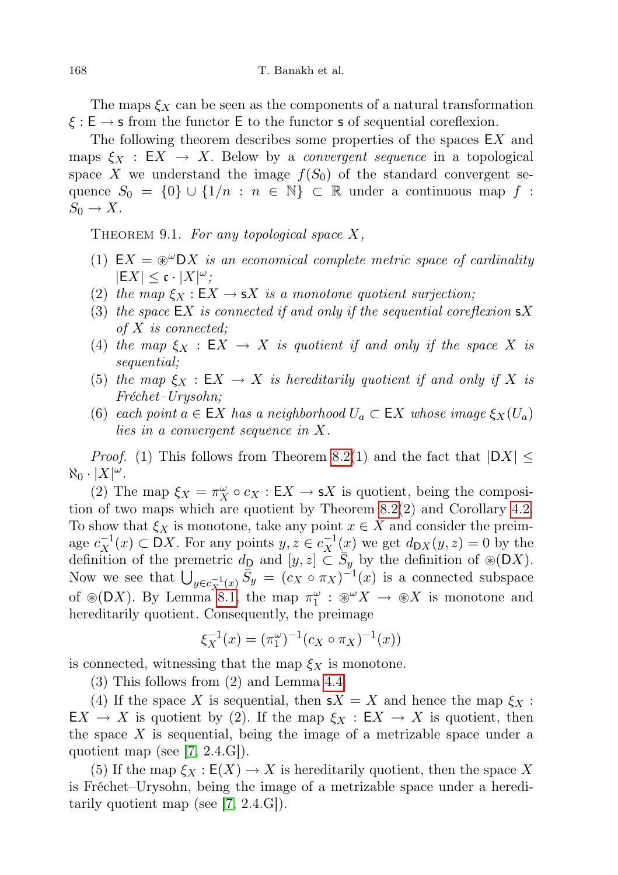The maps  $\xi_X$  can be seen as the components of a natural transformation  $\xi : E \to s$  from the functor E to the functor s of sequential coreflexion.

The following theorem describes some properties of the spaces  $EX$  and maps  $\xi_X : \mathsf{E} X \to X$ . Below by a *convergent sequence* in a topological space X we understand the image  $f(S_0)$  of the standard convergent sequence  $S_0 = \{0\} \cup \{1/n : n \in \mathbb{N}\}\subset \mathbb{R}$  under a continuous map f:  $S_0 \to X$ .

<span id="page-23-0"></span>THEOREM 9.1. For any topological space  $X$ ,

- (1)  $EX = \mathcal{D}^{\omega}DX$  is an economical complete metric space of cardinality  $|EX| \leq \mathfrak{c} \cdot |X|^{\omega};$
- (2) the map  $\xi_X : \mathsf{E} X \to \mathsf{s} X$  is a monotone quotient surjection;
- (3) the space  $\mathsf{E} X$  is connected if and only if the sequential coreflexion  $\mathsf{s} X$ of X is connected;
- (4) the map  $\xi_X : \mathsf{E} X \to X$  is quotient if and only if the space X is sequential;
- (5) the map  $\xi_X : \mathsf{E} X \to X$  is hereditarily quotient if and only if X is Fréchet–Urysohn;
- (6) each point  $a \in \mathsf{E} X$  has a neighborhood  $U_a \subset \mathsf{E} X$  whose image  $\xi_X(U_a)$ lies in a convergent sequence in X.

*Proof.* (1) This follows from Theorem [8.2\(](#page-20-2)1) and the fact that  $|DX| \leq$  $\aleph_0 \cdot |X|^\omega$ .

(2) The map  $\xi_X = \pi_X^{\omega} \circ c_X : \mathsf{E} X \to \mathsf{s} X$  is quotient, being the composition of two maps which are quotient by Theorem [8.2\(](#page-20-2)2) and Corollary [4.2.](#page-11-0) To show that  $\xi_X$  is monotone, take any point  $x \in X$  and consider the preimage  $c_X^{-1}(x) \subset \mathsf{D}X$ . For any points  $y, z \in c_X^{-1}(x)$  we get  $d_{\mathsf{D}X}(y, z) = 0$  by the definition of the premetric  $d_{\mathsf{D}}$  and  $[y, z] \subset \overline{S}_y$  by the definition of  $\mathcal{D}(DX)$ . Now we see that  $\bigcup_{y \in c_X^{-1}(x)} \bar{S}_y = (c_X \circ \pi_X)^{-1}(x)$  is a connected subspace of  $\mathcal{D}(DX)$ . By Lemma [8.1,](#page-20-1) the map  $\pi_1^{\omega} : \mathcal{D}^{\omega}X \to \mathcal{D}X$  is monotone and hereditarily quotient. Consequently, the preimage

$$
\xi_X^{-1}(x) = (\pi_1^{\omega})^{-1}(c_X \circ \pi_X)^{-1}(x))
$$

is connected, witnessing that the map  $\xi_X$  is monotone.

(3) This follows from (2) and Lemma [4.4.](#page-12-0)

(4) If the space X is sequential, then  $sX = X$  and hence the map  $\xi_X$ :  $EX \to X$  is quotient by (2). If the map  $\xi_X : EX \to X$  is quotient, then the space  $X$  is sequential, being the image of a metrizable space under a quotient map (see  $[7, 2.4.6]$  $[7, 2.4.6]$ ).

(5) If the map  $\xi_X : E(X) \to X$  is hereditarily quotient, then the space X is Fréchet–Urysohn, being the image of a metrizable space under a hereditarily quotient map (see [\[7,](#page-27-6) 2.4.G]).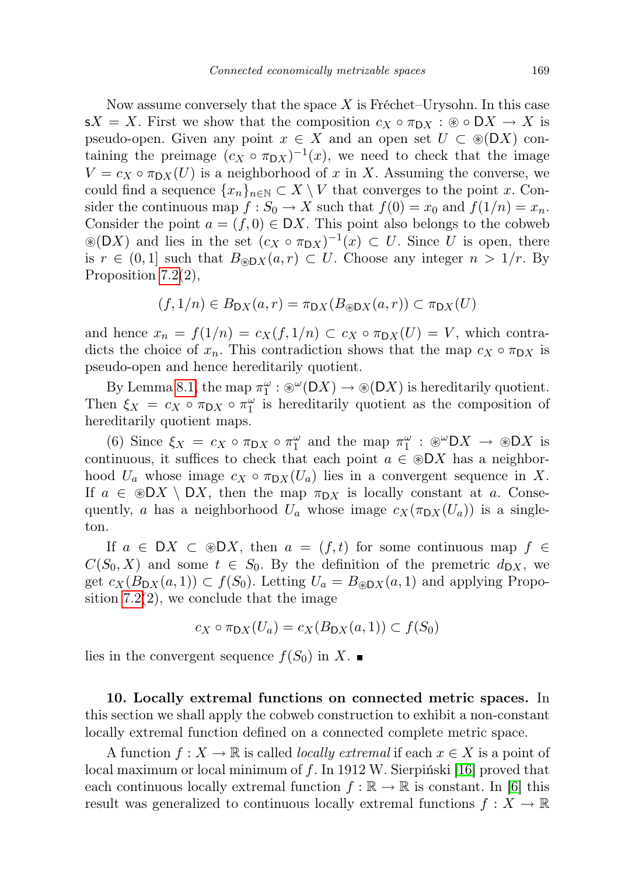Now assume conversely that the space  $X$  is Fréchet–Urysohn. In this case  $sX = X$ . First we show that the composition  $c_X \circ \pi_{\mathsf{D}X} : \mathsf{B} \circ \mathsf{D}X \to X$  is pseudo-open. Given any point  $x \in X$  and an open set  $U \subset \mathcal{B}(DX)$  containing the preimage  $(c_X \circ \pi_{DX})^{-1}(x)$ , we need to check that the image  $V = c_X \circ \pi_{\mathsf{D}X}(U)$  is a neighborhood of x in X. Assuming the converse, we could find a sequence  $\{x_n\}_{n\in\mathbb{N}}\subset X\setminus V$  that converges to the point x. Consider the continuous map  $f: S_0 \to X$  such that  $f(0) = x_0$  and  $f(1/n) = x_n$ . Consider the point  $a = (f, 0) \in DX$ . This point also belongs to the cobweb  $\mathcal{L}(DX)$  and lies in the set  $(c_X \circ \pi_{DX})^{-1}(x) \subset U$ . Since U is open, there is  $r \in (0,1]$  such that  $B_{\mathcal{B}DX}(a,r) \subset U$ . Choose any integer  $n > 1/r$ . By Proposition [7.2\(](#page-16-1)2),

$$
(f, 1/n) \in B_{\mathsf{D}X}(a, r) = \pi_{\mathsf{D}X}(B_{\mathcal{B}\mathsf{D}X}(a, r)) \subset \pi_{\mathsf{D}X}(U)
$$

and hence  $x_n = f(1/n) = c_X(f, 1/n) \subset c_X \circ \pi_{\mathsf{D}X}(U) = V$ , which contradicts the choice of  $x_n$ . This contradiction shows that the map  $c_X \circ \pi_{\mathsf{D}X}$  is pseudo-open and hence hereditarily quotient.

By Lemma [8.1,](#page-20-1) the map  $\pi_1^{\omega} : \mathcal{D}^{\omega}(\mathsf{D}X) \to \mathcal{D}(\mathsf{D}X)$  is hereditarily quotient. Then  $\xi_X = c_X \circ \pi_{\mathsf{D}X} \circ \pi_1^{\omega}$  is hereditarily quotient as the composition of hereditarily quotient maps.

(6) Since  $\xi_X = c_X \circ \pi_{\mathsf{D}X} \circ \pi_1^{\omega}$  and the map  $\pi_1^{\omega} : \mathcal{D}X \to \mathcal{D}X$  is continuous, it suffices to check that each point  $a \in \mathcal{D}X$  has a neighborhood  $U_a$  whose image  $c_X \circ \pi_{\mathcal{D}X}(U_a)$  lies in a convergent sequence in X. If  $a \in \mathcal{D}X \setminus DX$ , then the map  $\pi_{DX}$  is locally constant at a. Consequently, a has a neighborhood  $U_a$  whose image  $c_X(\pi_{\mathsf{D}X}(U_a))$  is a singleton.

If  $a \in DX \subset \mathcal{D}X$ , then  $a = (f, t)$  for some continuous map  $f \in$  $C(S_0, X)$  and some  $t \in S_0$ . By the definition of the premetric  $d_{\text{D}X}$ , we get  $c_X(B_{\mathsf{D}X}(a, 1)) \subset f(S_0)$ . Letting  $U_a = B_{\otimes \mathsf{D}X}(a, 1)$  and applying Proposition  $7.2(2)$ , we conclude that the image

$$
c_X \circ \pi_{\mathsf{D}X}(U_a) = c_X(B_{\mathsf{D}X}(a,1)) \subset f(S_0)
$$

lies in the convergent sequence  $f(S_0)$  in X.

10. Locally extremal functions on connected metric spaces. In this section we shall apply the cobweb construction to exhibit a non-constant locally extremal function defined on a connected complete metric space.

A function  $f: X \to \mathbb{R}$  is called *locally extremal* if each  $x \in X$  is a point of local maximum or local minimum of f. In 1912 W. Sierpiński [\[16\]](#page-27-12) proved that each continuous locally extremal function  $f : \mathbb{R} \to \mathbb{R}$  is constant. In [\[6\]](#page-27-13) this result was generalized to continuous locally extremal functions  $f: X \to \mathbb{R}$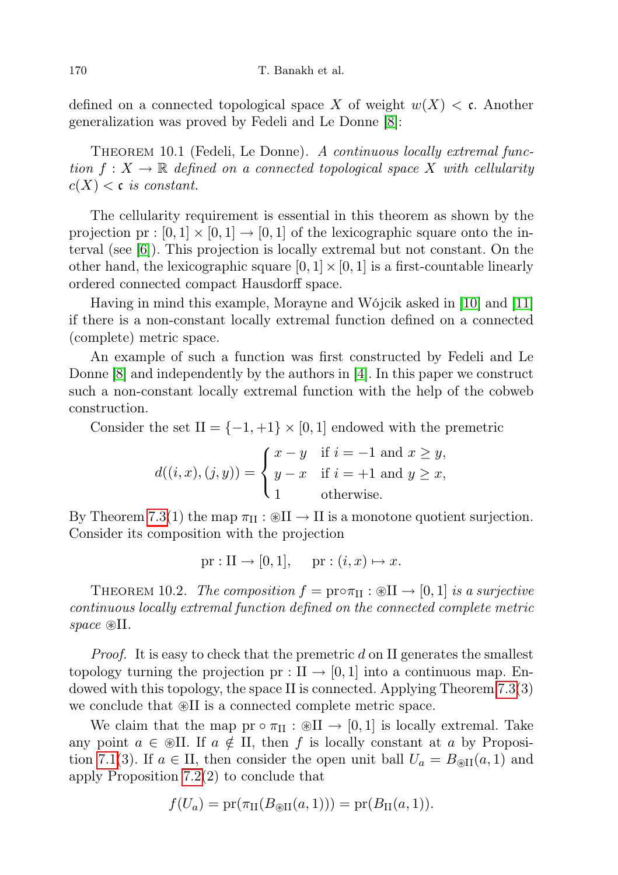defined on a connected topological space X of weight  $w(X) < c$ . Another generalization was proved by Fedeli and Le Donne [\[8\]](#page-27-14):

THEOREM 10.1 (Fedeli, Le Donne). A continuous locally extremal function  $f: X \to \mathbb{R}$  defined on a connected topological space X with cellularity  $c(X) < c$  is constant.

The cellularity requirement is essential in this theorem as shown by the projection pr :  $[0, 1] \times [0, 1] \rightarrow [0, 1]$  of the lexicographic square onto the interval (see [\[6\]](#page-27-13)). This projection is locally extremal but not constant. On the other hand, the lexicographic square  $[0, 1] \times [0, 1]$  is a first-countable linearly ordered connected compact Hausdorff space.

Having in mind this example, Morayne and Wójcik asked in [\[10\]](#page-27-0) and [\[11\]](#page-27-1) if there is a non-constant locally extremal function defined on a connected (complete) metric space.

An example of such a function was first constructed by Fedeli and Le Donne [\[8\]](#page-27-14) and independently by the authors in [\[4\]](#page-27-15). In this paper we construct such a non-constant locally extremal function with the help of the cobweb construction.

Consider the set  $II = \{-1, +1\} \times [0, 1]$  endowed with the premetric

$$
d((i, x), (j, y)) = \begin{cases} x - y & \text{if } i = -1 \text{ and } x \ge y, \\ y - x & \text{if } i = +1 \text{ and } y \ge x, \\ 1 & \text{otherwise.} \end{cases}
$$

By Theorem [7.3\(](#page-18-0)1) the map  $\pi_{II}: \mathcal{B}II \to II$  is a monotone quotient surjection. Consider its composition with the projection

$$
pr: II \to [0, 1], \quad pr: (i, x) \mapsto x.
$$

THEOREM 10.2. The composition  $f = \text{prox}_{\text{II}} : \mathcal{B}(\text{II} \to [0, 1])$  is a surjective continuous locally extremal function defined on the connected complete metric space  $\mathcal{B}II$ .

*Proof.* It is easy to check that the premetric  $d$  on II generates the smallest topology turning the projection pr :  $II \rightarrow [0, 1]$  into a continuous map. Endowed with this topology, the space II is connected. Applying Theorem [7.3\(](#page-18-0)3) we conclude that  $\mathcal{B}II$  is a connected complete metric space.

We claim that the map  $pr \circ \pi_{II} : \mathcal{B}II \to [0,1]$  is locally extremal. Take any point  $a \in \mathcal{B}$ II. If  $a \notin H$ , then f is locally constant at a by Proposi-tion [7.1\(](#page-16-0)3). If  $a \in H$ , then consider the open unit ball  $U_a = B_{\text{SII}}(a, 1)$  and apply Proposition [7.2\(](#page-16-1)2) to conclude that

$$
f(U_a) = pr(\pi_{\text{II}}(B_{\text{BII}}(a,1))) = pr(B_{\text{II}}(a,1)).
$$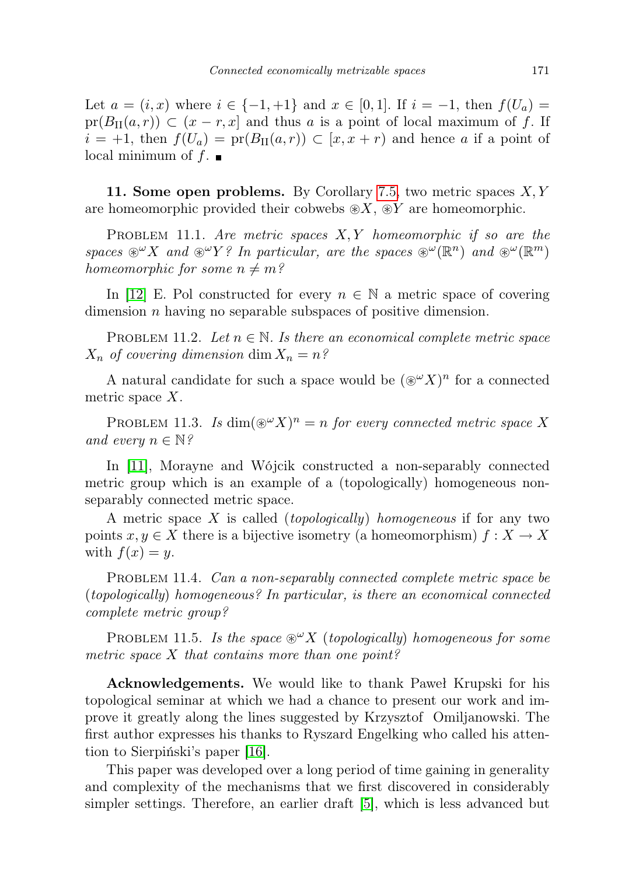Let  $a = (i, x)$  where  $i \in \{-1, +1\}$  and  $x \in [0, 1]$ . If  $i = -1$ , then  $f(U_a) =$  $pr(B_{II}(a, r)) \subset (x - r, x]$  and thus a is a point of local maximum of f. If  $i = +1$ , then  $f(U_a) = \text{pr}(B_{\text{II}}(a, r)) \subset [x, x + r)$  and hence a if a point of local minimum of  $f$ .

11. Some open problems. By Corollary [7.5,](#page-19-0) two metric spaces  $X, Y$ are homeomorphic provided their cobwebs  $\mathcal{X}, \mathcal{X}$  are homeomorphic.

PROBLEM 11.1. Are metric spaces  $X, Y$  homeomorphic if so are the spaces  $\mathscr{L}^{\omega} X$  and  $\mathscr{L}^{\omega} Y$ ? In particular, are the spaces  $\mathscr{L}(\mathbb{R}^n)$  and  $\mathscr{L}(\mathbb{R}^m)$ homeomorphic for some  $n \neq m$ ?

In [\[12\]](#page-27-16) E. Pol constructed for every  $n \in \mathbb{N}$  a metric space of covering dimension *n* having no separable subspaces of positive dimension.

PROBLEM 11.2. Let  $n \in \mathbb{N}$ . Is there an economical complete metric space  $X_n$  of covering dimension dim  $X_n = n$ ?

A natural candidate for such a space would be  $({\mathscr{L}}^{\omega}X)^n$  for a connected metric space X.

PROBLEM 11.3. Is  $\dim(\mathcal{D}^{\omega} X)^n = n$  for every connected metric space X and every  $n \in \mathbb{N}$ ?

In [\[11\]](#page-27-1), Morayne and Wójcik constructed a non-separably connected metric group which is an example of a (topologically) homogeneous nonseparably connected metric space.

A metric space  $X$  is called (*topologically*) homogeneous if for any two points  $x, y \in X$  there is a bijective isometry (a homeomorphism)  $f: X \to X$ with  $f(x) = y$ .

PROBLEM 11.4. Can a non-separably connected complete metric space be (topologically) homogeneous? In particular, is there an economical connected complete metric group?

PROBLEM 11.5. Is the space  $\mathcal{X}(topologically)$  homogeneous for some metric space  $X$  that contains more than one point?

Acknowledgements. We would like to thank Paweł Krupski for his topological seminar at which we had a chance to present our work and improve it greatly along the lines suggested by Krzysztof Omiljanowski. The first author expresses his thanks to Ryszard Engelking who called his attention to Sierpiński's paper [\[16\]](#page-27-12).

This paper was developed over a long period of time gaining in generality and complexity of the mechanisms that we first discovered in considerably simpler settings. Therefore, an earlier draft [\[5\]](#page-27-17), which is less advanced but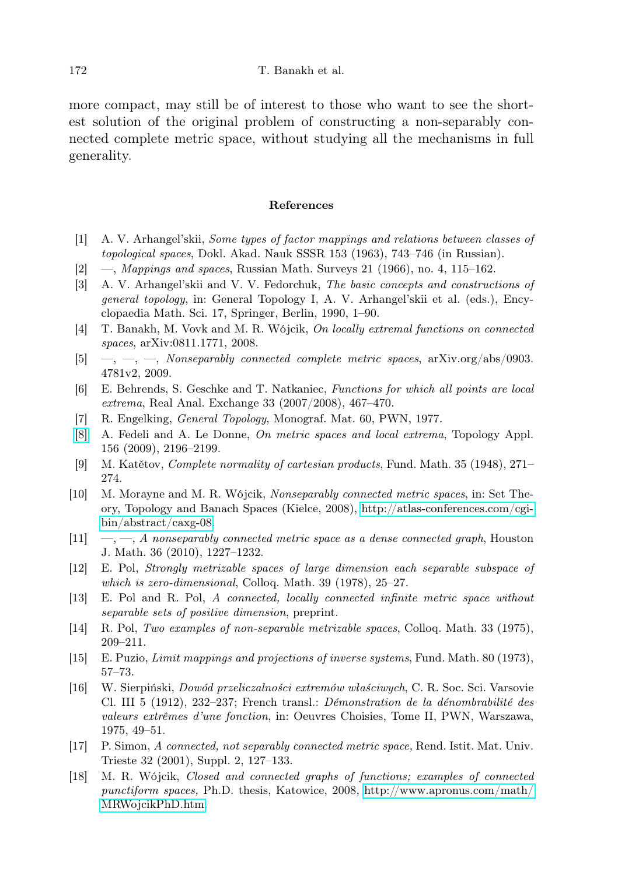more compact, may still be of interest to those who want to see the shortest solution of the original problem of constructing a non-separably connected complete metric space, without studying all the mechanisms in full generality.

#### References

- <span id="page-27-10"></span>[1] A. V. Arhangel'skii, Some types of factor mappings and relations between classes of topological spaces, Dokl. Akad. Nauk SSSR 153 (1963), 743–746 (in Russian).
- <span id="page-27-8"></span> $[2] \quad$ —, Mappings and spaces, Russian Math. Surveys 21 (1966), no. 4, 115–162.
- <span id="page-27-7"></span>[3] A. V. Arhangel'skii and V. V. Fedorchuk, The basic concepts and constructions of general topology, in: General Topology I, A. V. Arhangel'skii et al. (eds.), Encyclopaedia Math. Sci. 17, Springer, Berlin, 1990, 1–90.
- <span id="page-27-15"></span>[4] T. Banakh, M. Vovk and M. R. Wójcik, On locally extremal functions on connected spaces, arXiv:0811.1771, 2008.
- <span id="page-27-17"></span>[5]  $\rightarrow$ ,  $\rightarrow$ ,  $\rightarrow$ , Nonseparably connected complete metric spaces, arXiv.org/abs/0903. 4781v2, 2009.
- <span id="page-27-13"></span>[6] E. Behrends, S. Geschke and T. Natkaniec, Functions for which all points are local extrema, Real Anal. Exchange 33 (2007/2008), 467–470.
- <span id="page-27-6"></span>[7] R. Engelking, General Topology, Monograf. Mat. 60, PWN, 1977.
- <span id="page-27-14"></span>[\[8\]](http://dx.doi.org/10.1016/j.topol.2009.04.023) A. Fedeli and A. Le Donne, On metric spaces and local extrema, Topology Appl. 156 (2009), 2196–2199.
- <span id="page-27-9"></span>[9] M. Katětov, Complete normality of cartesian products, Fund. Math. 35 (1948), 271– 274.
- <span id="page-27-0"></span>[10] M. Morayne and M. R. Wójcik, Nonseparably connected metric spaces, in: Set Theory, Topology and Banach Spaces (Kielce, 2008), [http://atlas-conferences.com/cgi](http://atlas-conferences.com/cgi-bin/abstract/caxg-08)[bin/abstract/caxg-08.](http://atlas-conferences.com/cgi-bin/abstract/caxg-08)
- <span id="page-27-1"></span> $[11] \quad -,-$ , A nonseparably connected metric space as a dense connected graph, Houston J. Math. 36 (2010), 1227–1232.
- <span id="page-27-16"></span>[12] E. Pol, Strongly metrizable spaces of large dimension each separable subspace of which is zero-dimensional, Colloq. Math. 39 (1978), 25–27.
- <span id="page-27-5"></span>[13] E. Pol and R. Pol, A connected, locally connected infinite metric space without separable sets of positive dimension, preprint.
- <span id="page-27-2"></span>[14] R. Pol, Two examples of non-separable metrizable spaces, Colloq. Math. 33 (1975), 209–211.
- <span id="page-27-11"></span>[15] E. Puzio, Limit mappings and projections of inverse systems, Fund. Math. 80 (1973), 57–73.
- <span id="page-27-12"></span>[16] W. Sierpiński, Dowód przeliczalności extremów właściwych, C. R. Soc. Sci. Varsovie Cl. III 5 (1912), 232–237; French transl.: Démonstration de la dénombrabilité des valeurs extrêmes d'une fonction, in: Oeuvres Choisies, Tome II, PWN, Warszawa, 1975, 49–51.
- <span id="page-27-3"></span>[17] P. Simon, A connected, not separably connected metric space, Rend. Istit. Mat. Univ. Trieste 32 (2001), Suppl. 2, 127–133.
- <span id="page-27-4"></span>[18] M. R. Wójcik, Closed and connected graphs of functions; examples of connected punctiform spaces, Ph.D. thesis, Katowice, 2008, [http://www.apronus.com/math/](http://www.apronus.com/math/MRWojcikPhD.htm) [MRWojcikPhD.htm.](http://www.apronus.com/math/MRWojcikPhD.htm)